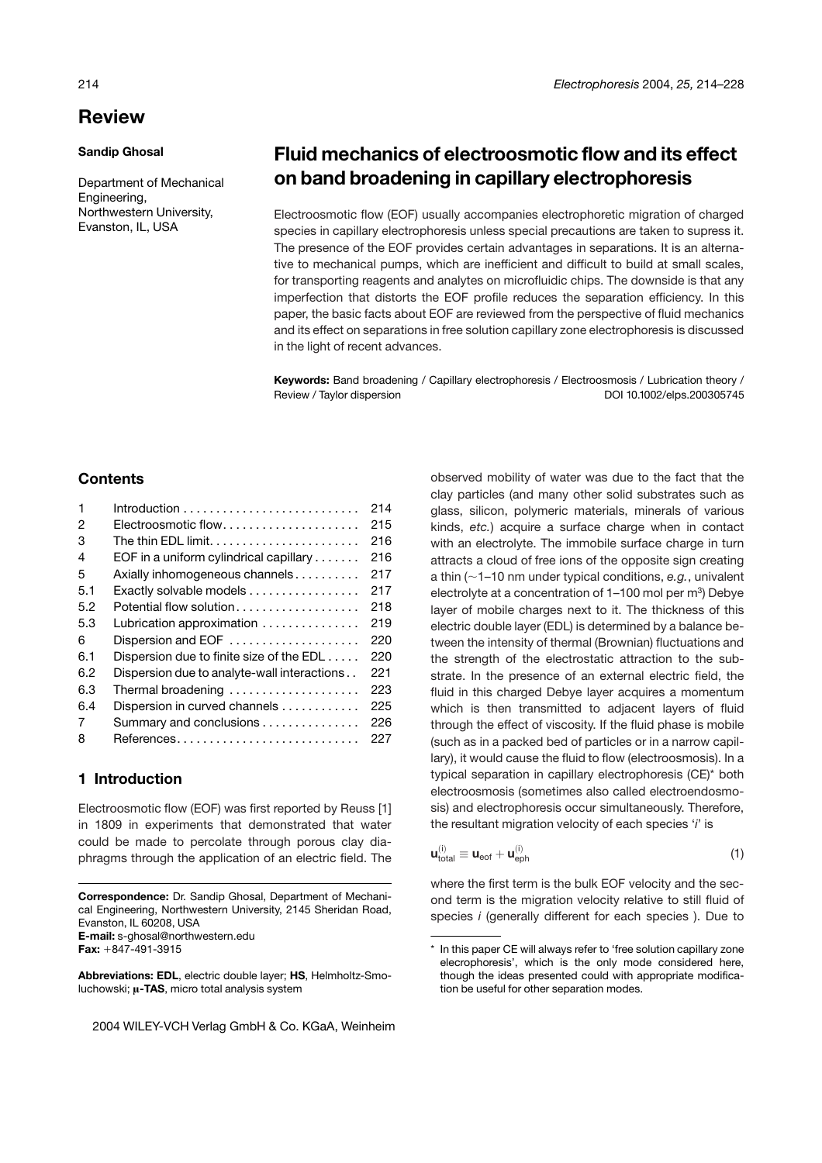# **Review**

#### **Sandip Ghosal**

Department of Mechanical Engineering, Northwestern University, Evanston, IL, USA

### 214 *Electrophoresis* 2004, *25,* 214–228

# **Fluid mechanics of electroosmotic flow and its effect on band broadening in capillary electrophoresis**

Electroosmotic flow (EOF) usually accompanies electrophoretic migration of charged species in capillary electrophoresis unless special precautions are taken to supress it. The presence of the EOF provides certain advantages in separations. It is an alternative to mechanical pumps, which are inefficient and difficult to build at small scales, for transporting reagents and analytes on microfluidic chips. The downside is that any imperfection that distorts the EOF profile reduces the separation efficiency. In this paper, the basic facts about EOF are reviewed from the perspective of fluid mechanics and its effect on separations in free solution capillary zone electrophoresis is discussed in the light of recent advances.

**Keywords:** Band broadening / Capillary electrophoresis / Electroosmosis / Lubrication theory / Review / Taylor dispersion details and the control of the DOI 10.1002/elps.200305745

# **Contents**

| 1   | Introduction $\ldots \ldots \ldots \ldots \ldots \ldots \ldots$ | 214 |
|-----|-----------------------------------------------------------------|-----|
| 2   |                                                                 | 215 |
| 3   |                                                                 | 216 |
| 4   | EOF in a uniform cylindrical capillary $\ldots \ldots$          | 216 |
| 5   | Axially inhomogeneous channels                                  | 217 |
| 5.1 | Exactly solvable models                                         | 217 |
| 5.2 | Potential flow solution                                         | 218 |
| 5.3 | Lubrication approximation                                       | 219 |
| 6   | Dispersion and EOF                                              | 220 |
| 6.1 | Dispersion due to finite size of the EDL                        | 220 |
| 6.2 | Dispersion due to analyte-wall interactions                     | 221 |
| 6.3 | Thermal broadening                                              | 223 |
| 6.4 | Dispersion in curved channels                                   | 225 |
| 7   | Summary and conclusions                                         | 226 |
| 8   | References                                                      | 227 |
|     |                                                                 |     |

# **1 Introduction**

Electroosmotic flow (EOF) was first reported by Reuss [1] in 1809 in experiments that demonstrated that water could be made to percolate through porous clay diaphragms through the application of an electric field. The

**Correspondence:** Dr. Sandip Ghosal, Department of Mechanical Engineering, Northwestern University, 2145 Sheridan Road, Evanston, IL 60208, USA **E-mail:** s-ghosal@northwestern.edu **Fax:**  $+847-491-3915$ 

**Abbreviations: EDL**, electric double layer; **HS**, Helmholtz-Smoluchowski;  $\mu$ -TAS, micro total analysis system

2004 WILEY-VCH Verlag GmbH & Co. KGaA, Weinheim

observed mobility of water was due to the fact that the clay particles (and many other solid substrates such as glass, silicon, polymeric materials, minerals of various kinds, *etc.*) acquire a surface charge when in contact with an electrolyte. The immobile surface charge in turn attracts a cloud of free ions of the opposite sign creating a thin  $(-1-10$  nm under typical conditions, *e.g.*, univalent electrolyte at a concentration of  $1-100$  mol per m<sup>3</sup>) Debye layer of mobile charges next to it. The thickness of this electric double layer (EDL) is determined by a balance between the intensity of thermal (Brownian) fluctuations and the strength of the electrostatic attraction to the substrate. In the presence of an external electric field, the fluid in this charged Debye layer acquires a momentum which is then transmitted to adjacent layers of fluid through the effect of viscosity. If the fluid phase is mobile (such as in a packed bed of particles or in a narrow capillary), it would cause the fluid to flow (electroosmosis). In a typical separation in capillary electrophoresis (CE)\* both electroosmosis (sometimes also called electroendosmosis) and electrophoresis occur simultaneously. Therefore, the resultant migration velocity of each species '*i*' is

$$
\mathbf{u}_{\text{total}}^{(i)} \equiv \mathbf{u}_{\text{eqf}} + \mathbf{u}_{\text{eph}}^{(i)}
$$
 (1)

where the first term is the bulk EOF velocity and the second term is the migration velocity relative to still fluid of species *i* (generally different for each species ). Due to

<sup>\*</sup> In this paper CE will always refer to 'free solution capillary zone elecrophoresis', which is the only mode considered here, though the ideas presented could with appropriate modification be useful for other separation modes.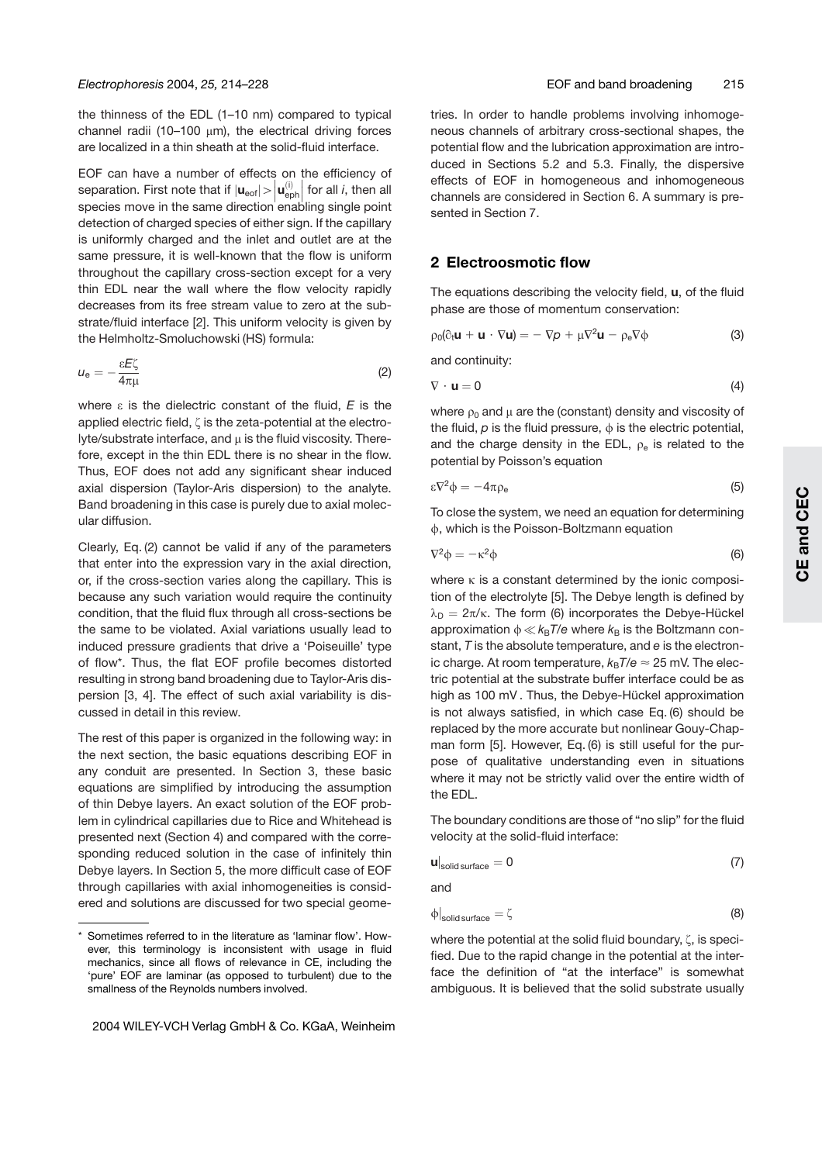the thinness of the EDL (1–10 nm) compared to typical channel radii (10-100  $\mu$ m), the electrical driving forces are localized in a thin sheath at the solid-fluid interface.

EOF can have a number of effects on the efficiency of separation. First note that if  $|{\bm{u}}_{\text{eof}}| \!>\! \left| {\bm{u}}_{\text{eph}}^{(\text{i})} \right|$  for all *i*, then all species move in the same direction enabling single point detection of charged species of either sign. If the capillary is uniformly charged and the inlet and outlet are at the same pressure, it is well-known that the flow is uniform throughout the capillary cross-section except for a very thin EDL near the wall where the flow velocity rapidly decreases from its free stream value to zero at the substrate/fluid interface [2]. This uniform velocity is given by the Helmholtz-Smoluchowski (HS) formula:

$$
u_{\rm e} = -\frac{\varepsilon E \zeta}{4\pi\mu} \tag{2}
$$

where  $\varepsilon$  is the dielectric constant of the fluid,  $E$  is the applied electric field,  $\zeta$  is the zeta-potential at the electrolyte/substrate interface, and  $\mu$  is the fluid viscosity. Therefore, except in the thin EDL there is no shear in the flow. Thus, EOF does not add any significant shear induced axial dispersion (Taylor-Aris dispersion) to the analyte. Band broadening in this case is purely due to axial molecular diffusion.

Clearly, Eq. (2) cannot be valid if any of the parameters that enter into the expression vary in the axial direction, or, if the cross-section varies along the capillary. This is because any such variation would require the continuity condition, that the fluid flux through all cross-sections be the same to be violated. Axial variations usually lead to induced pressure gradients that drive a 'Poiseuille' type of flow\*. Thus, the flat EOF profile becomes distorted resulting in strong band broadening due to Taylor-Aris dispersion [3, 4]. The effect of such axial variability is discussed in detail in this review.

The rest of this paper is organized in the following way: in the next section, the basic equations describing EOF in any conduit are presented. In Section 3, these basic equations are simplified by introducing the assumption of thin Debye layers. An exact solution of the EOF problem in cylindrical capillaries due to Rice and Whitehead is presented next (Section 4) and compared with the corresponding reduced solution in the case of infinitely thin Debye layers. In Section 5, the more difficult case of EOF through capillaries with axial inhomogeneities is considered and solutions are discussed for two special geometries. In order to handle problems involving inhomogeneous channels of arbitrary cross-sectional shapes, the potential flow and the lubrication approximation are introduced in Sections 5.2 and 5.3. Finally, the dispersive effects of EOF in homogeneous and inhomogeneous channels are considered in Section 6. A summary is presented in Section 7.

### **2 Electroosmotic flow**

The equations describing the velocity field, **u**, of the fluid phase are those of momentum conservation:

$$
\rho_0(\partial_t \mathbf{u} + \mathbf{u} \cdot \nabla \mathbf{u}) = -\nabla p + \mu \nabla^2 \mathbf{u} - \rho_e \nabla \varphi \tag{3}
$$

and continuity:

$$
\nabla \cdot \mathbf{u} = 0 \tag{4}
$$

where  $\rho_0$  and  $\mu$  are the (constant) density and viscosity of the fluid,  $p$  is the fluid pressure,  $\phi$  is the electric potential, and the charge density in the EDL,  $\rho_e$  is related to the potential by Poisson's equation

$$
\varepsilon \nabla^2 \phi = -4\pi \rho_e \tag{5}
$$

To close the system, we need an equation for determining  $\phi$ , which is the Poisson-Boltzmann equation

$$
\nabla^2 \phi = -\kappa^2 \phi \tag{6}
$$

where  $\kappa$  is a constant determined by the ionic composition of the electrolyte [5]. The Debye length is defined by  $\lambda_D = 2\pi/\kappa$ . The form (6) incorporates the Debye-Hückel approximation  $\phi \ll k_B T/e$  where  $k_B$  is the Boltzmann constant, *T* is the absolute temperature, and *e* is the electronic charge. At room temperature,  $k_B T/e \approx 25$  mV. The electric potential at the substrate buffer interface could be as high as 100 mV . Thus, the Debye-Hückel approximation is not always satisfied, in which case Eq. (6) should be replaced by the more accurate but nonlinear Gouy-Chapman form [5]. However, Eq. (6) is still useful for the purpose of qualitative understanding even in situations where it may not be strictly valid over the entire width of the EDL.

The boundary conditions are those of "no slip" for the fluid velocity at the solid-fluid interface:

$$
u|_{\text{solid surface}} = 0 \tag{7}
$$

and

$$
\phi|_{\text{solid surface}} = \zeta \tag{8}
$$

where the potential at the solid fluid boundary,  $\zeta$ , is specified. Due to the rapid change in the potential at the interface the definition of "at the interface" is somewhat ambiguous. It is believed that the solid substrate usually

Sometimes referred to in the literature as 'laminar flow'. However, this terminology is inconsistent with usage in fluid mechanics, since all flows of relevance in CE, including the 'pure' EOF are laminar (as opposed to turbulent) due to the smallness of the Reynolds numbers involved.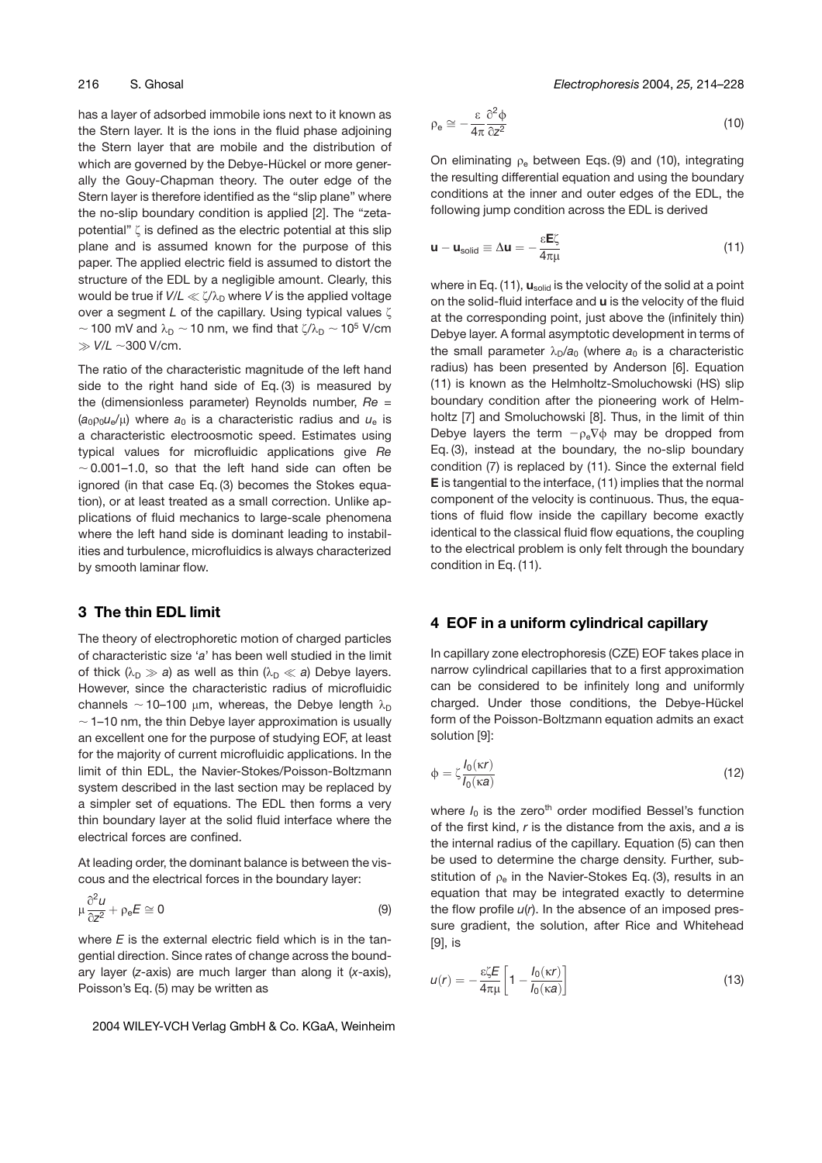has a layer of adsorbed immobile ions next to it known as the Stern layer. It is the ions in the fluid phase adjoining the Stern layer that are mobile and the distribution of which are governed by the Debye-Hückel or more generally the Gouy-Chapman theory. The outer edge of the Stern layer is therefore identified as the "slip plane" where the no-slip boundary condition is applied [2]. The "zetapotential"  $\zeta$  is defined as the electric potential at this slip plane and is assumed known for the purpose of this paper. The applied electric field is assumed to distort the structure of the EDL by a negligible amount. Clearly, this would be true if  $V/L \ll \zeta/\lambda_D$  where *V* is the applied voltage over a segment *L* of the capillary. Using typical values ζ  $\sim$  100 mV and  $\lambda_D$   $\sim$  10 nm, we find that  $\zeta/\lambda_D$   $\sim$  10<sup>5</sup> V/cm *V*/*L* ,300 V/cm.

The ratio of the characteristic magnitude of the left hand side to the right hand side of Eq. (3) is measured by the (dimensionless parameter) Reynolds number, *Re* =  $(a_0 \rho_0 u_e/\mu)$  where  $a_0$  is a characteristic radius and  $u_e$  is a characteristic electroosmotic speed. Estimates using typical values for microfluidic applications give *Re*  $\sim$  0.001–1.0, so that the left hand side can often be ignored (in that case Eq. (3) becomes the Stokes equation), or at least treated as a small correction. Unlike applications of fluid mechanics to large-scale phenomena where the left hand side is dominant leading to instabilities and turbulence, microfluidics is always characterized by smooth laminar flow.

# **3 The thin EDL limit**

The theory of electrophoretic motion of charged particles of characteristic size '*a*' has been well studied in the limit of thick ( $\lambda_D \gg a$ ) as well as thin ( $\lambda_D \ll a$ ) Debye layers. However, since the characteristic radius of microfluidic channels  $\sim$  10–100 µm, whereas, the Debye length  $\lambda_D$  $\sim$  1–10 nm, the thin Debye layer approximation is usually an excellent one for the purpose of studying EOF, at least for the majority of current microfluidic applications. In the limit of thin EDL, the Navier-Stokes/Poisson-Boltzmann system described in the last section may be replaced by a simpler set of equations. The EDL then forms a very thin boundary layer at the solid fluid interface where the electrical forces are confined.

At leading order, the dominant balance is between the viscous and the electrical forces in the boundary layer:

$$
\mu \frac{\partial^2 u}{\partial z^2} + \rho_e E \cong 0 \tag{9}
$$

where *E* is the external electric field which is in the tangential direction. Since rates of change across the boundary layer (*z*-axis) are much larger than along it (*x*-axis), Poisson's Eq. (5) may be written as

2004 WILEY-VCH Verlag GmbH & Co. KGaA, Weinheim

$$
\rho_{\rm e} \cong -\frac{\varepsilon}{4\pi} \frac{\partial^2 \phi}{\partial z^2} \tag{10}
$$

On eliminating  $\rho_e$  between Eqs. (9) and (10), integrating the resulting differential equation and using the boundary conditions at the inner and outer edges of the EDL, the following jump condition across the EDL is derived

$$
\mathbf{u} - \mathbf{u}_{\text{solid}} \equiv \Delta \mathbf{u} = -\frac{\varepsilon \mathbf{E} \zeta}{4\pi \mu} \tag{11}
$$

where in Eq. (11),  $\mathbf{u}_{\text{solid}}$  is the velocity of the solid at a point on the solid-fluid interface and **u** is the velocity of the fluid at the corresponding point, just above the (infinitely thin) Debye layer. A formal asymptotic development in terms of the small parameter  $\lambda_D/a_0$  (where  $a_0$  is a characteristic radius) has been presented by Anderson [6]. Equation (11) is known as the Helmholtz-Smoluchowski (HS) slip boundary condition after the pioneering work of Helmholtz [7] and Smoluchowski [8]. Thus, in the limit of thin Debye layers the term  $-\rho_e\nabla\phi$  may be dropped from Eq. (3), instead at the boundary, the no-slip boundary condition (7) is replaced by (11). Since the external field **E** is tangential to the interface, (11) implies that the normal component of the velocity is continuous. Thus, the equations of fluid flow inside the capillary become exactly identical to the classical fluid flow equations, the coupling to the electrical problem is only felt through the boundary condition in Eq. (11).

### **4 EOF in a uniform cylindrical capillary**

In capillary zone electrophoresis (CZE) EOF takes place in narrow cylindrical capillaries that to a first approximation can be considered to be infinitely long and uniformly charged. Under those conditions, the Debye-Hückel form of the Poisson-Boltzmann equation admits an exact solution [9]:

$$
\phi = \zeta \frac{I_0(\kappa r)}{I_0(\kappa a)}\tag{12}
$$

where  $I_0$  is the zero<sup>th</sup> order modified Bessel's function of the first kind, *r* is the distance from the axis, and *a* is the internal radius of the capillary. Equation (5) can then be used to determine the charge density. Further, substitution of  $\rho_e$  in the Navier-Stokes Eq. (3), results in an equation that may be integrated exactly to determine the flow profile *u*(*r*). In the absence of an imposed pressure gradient, the solution, after Rice and Whitehead [9], is

$$
u(r) = -\frac{\varepsilon \zeta E}{4\pi\mu} \left[ 1 - \frac{I_0(\kappa r)}{I_0(\kappa a)} \right]
$$
(13)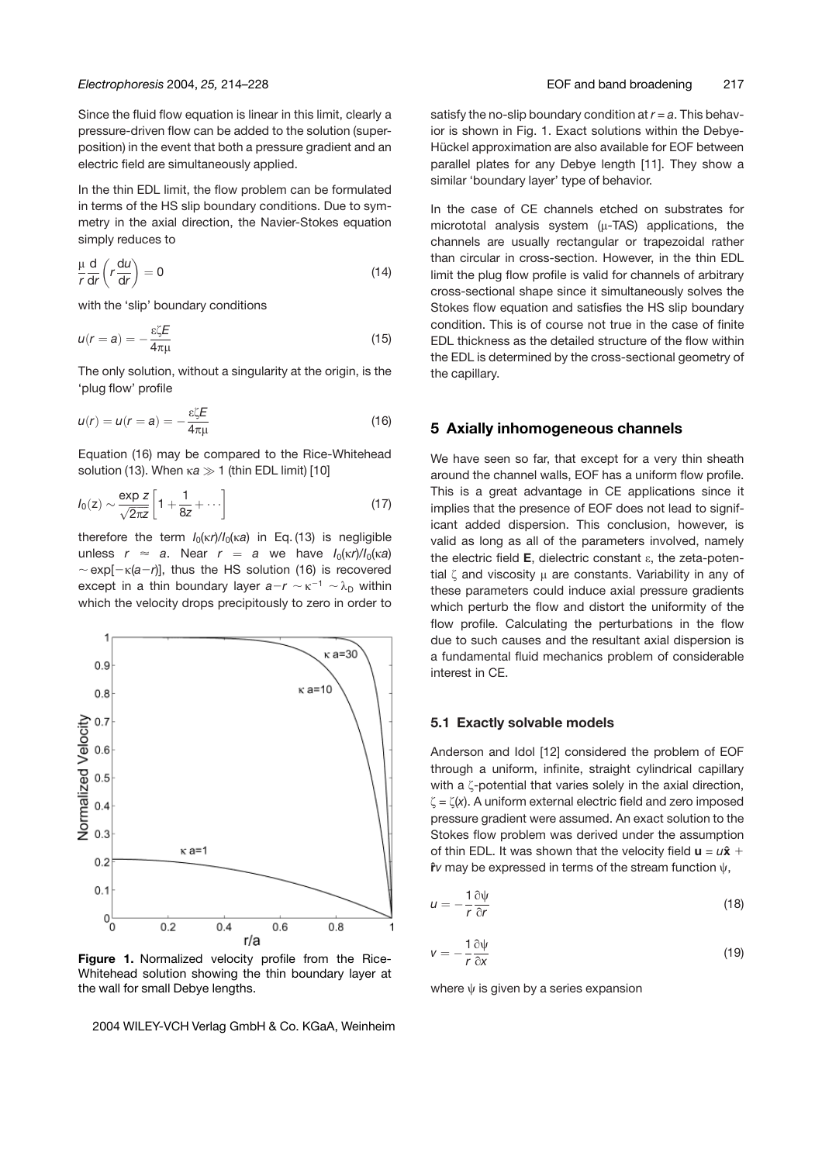Since the fluid flow equation is linear in this limit, clearly a pressure-driven flow can be added to the solution (superposition) in the event that both a pressure gradient and an electric field are simultaneously applied.

In the thin EDL limit, the flow problem can be formulated in terms of the HS slip boundary conditions. Due to symmetry in the axial direction, the Navier-Stokes equation simply reduces to

$$
\frac{\mu}{r}\frac{d}{dr}\left(r\frac{du}{dr}\right) = 0\tag{14}
$$

with the 'slip' boundary conditions

$$
u(r=a) = -\frac{\varepsilon \zeta E}{4\pi\mu} \tag{15}
$$

The only solution, without a singularity at the origin, is the 'plug flow' profile

$$
u(r) = u(r = a) = -\frac{\varepsilon \zeta E}{4\pi\mu}
$$
 (16)

Equation (16) may be compared to the Rice-Whitehead solution (13). When  $\kappa a \gg 1$  (thin EDL limit) [10]

$$
I_0(z) \sim \frac{\exp z}{\sqrt{2\pi z}} \left[ 1 + \frac{1}{8z} + \cdots \right]
$$
 (17)

therefore the term  $I_0(\kappa r)/I_0(\kappa a)$  in Eq. (13) is negligible unless  $r \approx a$ . Near  $r = a$  we have  $I_0(\kappa r)/I_0(\kappa a)$  $\sim$  exp[ $-\kappa(a-r)$ ], thus the HS solution (16) is recovered except in a thin boundary layer  $a-r \sim \kappa^{-1} \sim \lambda_D$  within which the velocity drops precipitously to zero in order to



**Figure 1.** Normalized velocity profile from the Rice-Whitehead solution showing the thin boundary layer at the wall for small Debye lengths.

2004 WILEY-VCH Verlag GmbH & Co. KGaA, Weinheim

satisfy the no-slip boundary condition at *r* = *a*. This behavior is shown in Fig. 1. Exact solutions within the Debye-Hückel approximation are also available for EOF between parallel plates for any Debye length [11]. They show a similar 'boundary layer' type of behavior.

In the case of CE channels etched on substrates for micrototal analysis system  $(\mu$ -TAS) applications, the channels are usually rectangular or trapezoidal rather than circular in cross-section. However, in the thin EDL limit the plug flow profile is valid for channels of arbitrary cross-sectional shape since it simultaneously solves the Stokes flow equation and satisfies the HS slip boundary condition. This is of course not true in the case of finite EDL thickness as the detailed structure of the flow within the EDL is determined by the cross-sectional geometry of the capillary.

## **5 Axially inhomogeneous channels**

We have seen so far, that except for a very thin sheath around the channel walls, EOF has a uniform flow profile. This is a great advantage in CE applications since it implies that the presence of EOF does not lead to significant added dispersion. This conclusion, however, is valid as long as all of the parameters involved, namely the electric field **E**, dielectric constant e, the zeta-potential  $\zeta$  and viscosity  $\mu$  are constants. Variability in any of these parameters could induce axial pressure gradients which perturb the flow and distort the uniformity of the flow profile. Calculating the perturbations in the flow due to such causes and the resultant axial dispersion is a fundamental fluid mechanics problem of considerable interest in CE.

### **5.1 Exactly solvable models**

Anderson and Idol [12] considered the problem of EOF through a uniform, infinite, straight cylindrical capillary with a  $\zeta$ -potential that varies solely in the axial direction,  $\zeta = \zeta(x)$ . A uniform external electric field and zero imposed pressure gradient were assumed. An exact solution to the Stokes flow problem was derived under the assumption of thin EDL. It was shown that the velocity field  $\mathbf{u} = u\hat{\mathbf{x}} + \hat{\mathbf{v}}$  $\hat{\mathbf{r}}$ *v* may be expressed in terms of the stream function  $\psi$ ,

$$
u = -\frac{1}{r}\frac{\partial \psi}{\partial r} \tag{18}
$$

$$
v = -\frac{1}{r}\frac{\partial \psi}{\partial x} \tag{19}
$$

where  $\psi$  is given by a series expansion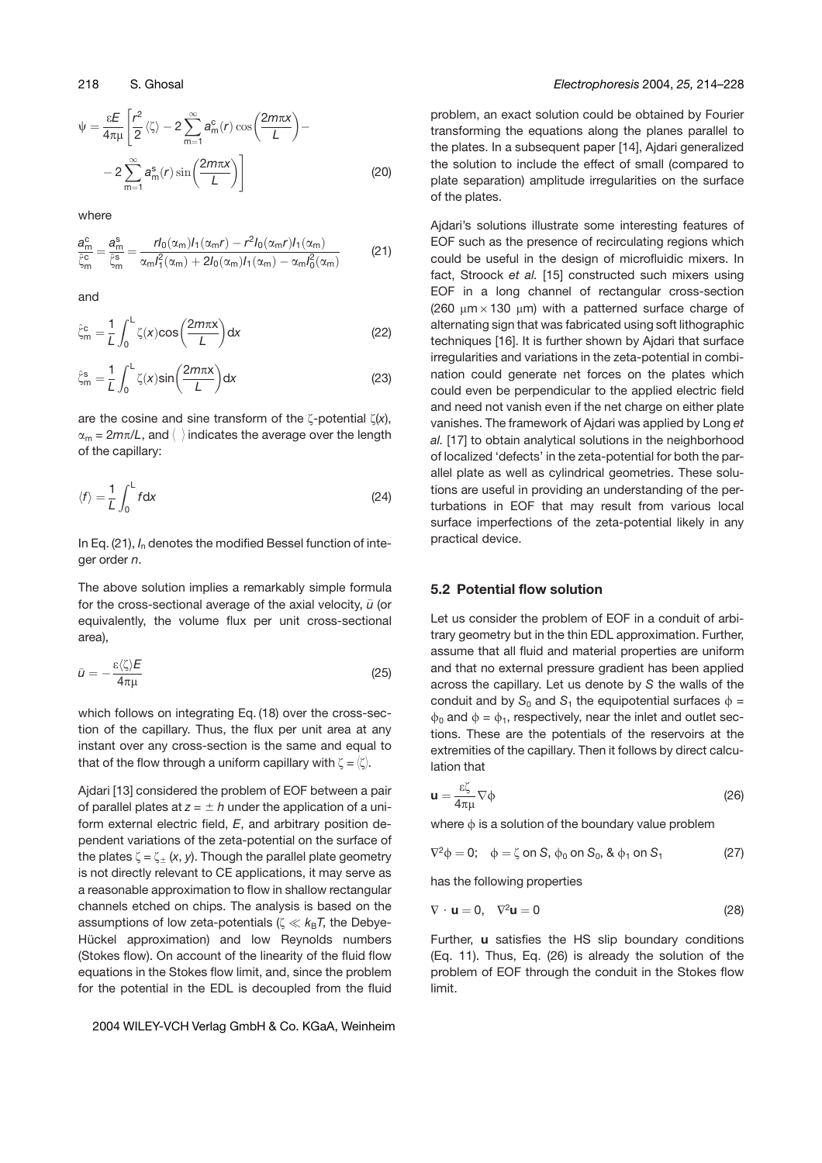$$
\psi = \frac{\varepsilon E}{4\pi\mu} \left[ \frac{r^2}{2} \langle \zeta \rangle - 2 \sum_{m=1}^{\infty} a_m^c(r) \cos\left(\frac{2m\pi x}{L}\right) - 2 \sum_{m=1}^{\infty} a_m^s(r) \sin\left(\frac{2m\pi x}{L}\right) \right]
$$
(20)

where

$$
\frac{a_{\rm m}^{\rm c}}{\hat{\zeta}_{\rm m}^{\rm c}} = \frac{a_{\rm m}^{\rm s}}{\hat{\zeta}_{\rm m}^{\rm s}} = \frac{r l_0(\alpha_{\rm m}) l_1(\alpha_{\rm m}r) - r^2 l_0(\alpha_{\rm m}r) l_1(\alpha_{\rm m})}{\alpha_{\rm m} l_1^2(\alpha_{\rm m}) + 2 l_0(\alpha_{\rm m}) l_1(\alpha_{\rm m}) - \alpha_{\rm m} l_0^2(\alpha_{\rm m})} \tag{21}
$$

and

$$
\hat{\zeta}_{\mathsf{m}}^{\mathsf{c}} = \frac{1}{L} \int_{0}^{L} \zeta(x) \cos\left(\frac{2m\pi x}{L}\right) \mathrm{d}x \tag{22}
$$

$$
\hat{\zeta}_{m}^{\mathrm{s}} = \frac{1}{L} \int_{0}^{L} \zeta(x) \sin\left(\frac{2m\pi x}{L}\right) \mathrm{d}x \tag{23}
$$

are the cosine and sine transform of the  $\zeta$ -potential  $\zeta(x)$ ,  $\alpha_m = 2m\pi/L$ , and  $\langle \rangle$  indicates the average over the length of the capillary:

$$
\langle f \rangle = \frac{1}{L} \int_0^L f \, \mathrm{d}x \tag{24}
$$

In Eq. (21), *I*<sup>n</sup> denotes the modified Bessel function of integer order *n*.

The above solution implies a remarkably simple formula for the cross-sectional average of the axial velocity, *u* (or equivalently, the volume flux per unit cross-sectional area),

$$
\bar{u} = -\frac{\varepsilon \langle \zeta \rangle E}{4\pi\mu} \tag{25}
$$

which follows on integrating Eq. (18) over the cross-section of the capillary. Thus, the flux per unit area at any instant over any cross-section is the same and equal to that of the flow through a uniform capillary with  $\zeta = \langle \zeta \rangle$ .

Ajdari [13] considered the problem of EOF between a pair of parallel plates at  $z = \pm h$  under the application of a uniform external electric field, *E*, and arbitrary position dependent variations of the zeta-potential on the surface of the plates  $\zeta = \zeta_+(x, y)$ . Though the parallel plate geometry is not directly relevant to CE applications, it may serve as a reasonable approximation to flow in shallow rectangular channels etched on chips. The analysis is based on the assumptions of low zeta-potentials ( $\zeta \ll k_B T$ , the Debye-Hückel approximation) and low Reynolds numbers (Stokes flow). On account of the linearity of the fluid flow equations in the Stokes flow limit, and, since the problem for the potential in the EDL is decoupled from the fluid

2004 WILEY-VCH Verlag GmbH & Co. KGaA, Weinheim

### 218 S. Ghosal *Electrophoresis* 2004, *25,* 214–228

problem, an exact solution could be obtained by Fourier transforming the equations along the planes parallel to the plates. In a subsequent paper [14], Ajdari generalized the solution to include the effect of small (compared to plate separation) amplitude irregularities on the surface of the plates.

Ajdari's solutions illustrate some interesting features of EOF such as the presence of recirculating regions which could be useful in the design of microfluidic mixers. In fact, Stroock *et al.* [15] constructed such mixers using EOF in a long channel of rectangular cross-section (260  $\mu$ m × 130  $\mu$ m) with a patterned surface charge of alternating sign that was fabricated using soft lithographic techniques [16]. It is further shown by Ajdari that surface irregularities and variations in the zeta-potential in combination could generate net forces on the plates which could even be perpendicular to the applied electric field and need not vanish even if the net charge on either plate vanishes. The framework of Ajdari was applied by Long *et al.* [17] to obtain analytical solutions in the neighborhood of localized 'defects' in the zeta-potential for both the parallel plate as well as cylindrical geometries. These solutions are useful in providing an understanding of the perturbations in EOF that may result from various local surface imperfections of the zeta-potential likely in any practical device.

# **5.2 Potential flow solution**

Let us consider the problem of EOF in a conduit of arbitrary geometry but in the thin EDL approximation. Further, assume that all fluid and material properties are uniform and that no external pressure gradient has been applied across the capillary. Let us denote by *S* the walls of the conduit and by  $S_0$  and  $S_1$  the equipotential surfaces  $\phi$  =  $\phi_0$  and  $\phi = \phi_1$ , respectively, near the inlet and outlet sections. These are the potentials of the reservoirs at the extremities of the capillary. Then it follows by direct calculation that

$$
\mathbf{u} = \frac{\varepsilon \zeta}{4\pi \mu} \nabla \phi \tag{26}
$$

where  $\phi$  is a solution of the boundary value problem

$$
\nabla^2 \phi = 0; \quad \phi = \zeta \text{ on } S, \phi_0 \text{ on } S_0, \& \phi_1 \text{ on } S_1 \tag{27}
$$

has the following properties

$$
\nabla \cdot \mathbf{u} = 0, \quad \nabla^2 \mathbf{u} = 0 \tag{28}
$$

Further, **u** satisfies the HS slip boundary conditions (Eq. 11). Thus, Eq. (26) is already the solution of the problem of EOF through the conduit in the Stokes flow limit.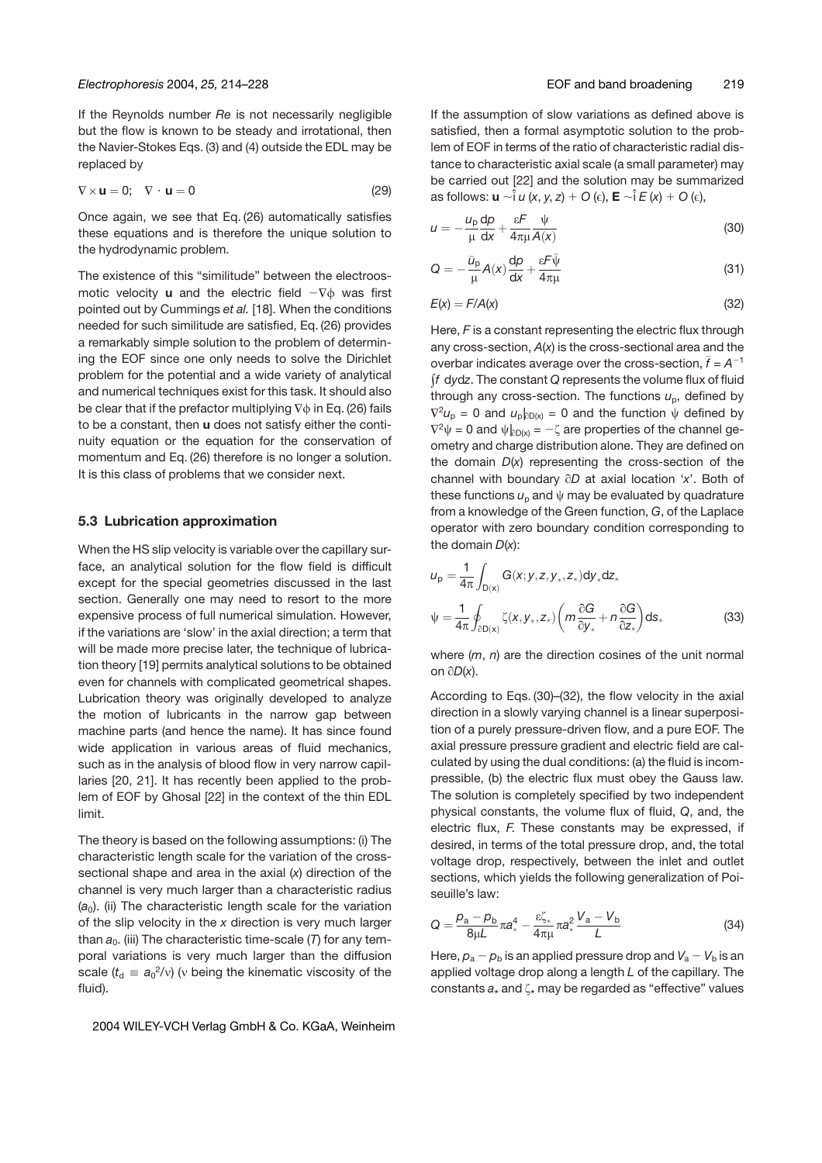If the Reynolds number *Re* is not necessarily negligible but the flow is known to be steady and irrotational, then the Navier-Stokes Eqs. (3) and (4) outside the EDL may be replaced by

$$
\nabla \times \mathbf{u} = 0; \quad \nabla \cdot \mathbf{u} = 0 \tag{29}
$$

Once again, we see that Eq. (26) automatically satisfies these equations and is therefore the unique solution to the hydrodynamic problem.

The existence of this "similitude" between the electroosmotic velocity **u** and the electric field  $-\nabla\phi$  was first pointed out by Cummings *et al.* [18]. When the conditions needed for such similitude are satisfied, Eq. (26) provides a remarkably simple solution to the problem of determining the EOF since one only needs to solve the Dirichlet problem for the potential and a wide variety of analytical and numerical techniques exist for this task. It should also be clear that if the prefactor multiplying  $\nabla \phi$  in Eq. (26) fails to be a constant, then **u** does not satisfy either the continuity equation or the equation for the conservation of momentum and Eq. (26) therefore is no longer a solution. It is this class of problems that we consider next.

#### **5.3 Lubrication approximation**

When the HS slip velocity is variable over the capillary surface, an analytical solution for the flow field is difficult except for the special geometries discussed in the last section. Generally one may need to resort to the more expensive process of full numerical simulation. However, if the variations are 'slow' in the axial direction; a term that will be made more precise later, the technique of lubrication theory [19] permits analytical solutions to be obtained even for channels with complicated geometrical shapes. Lubrication theory was originally developed to analyze the motion of lubricants in the narrow gap between machine parts (and hence the name). It has since found wide application in various areas of fluid mechanics, such as in the analysis of blood flow in very narrow capillaries [20, 21]. It has recently been applied to the problem of EOF by Ghosal [22] in the context of the thin EDL limit.

The theory is based on the following assumptions: (i) The characteristic length scale for the variation of the crosssectional shape and area in the axial (*x*) direction of the channel is very much larger than a characteristic radius  $(a_0)$ . (ii) The characteristic length scale for the variation of the slip velocity in the *x* direction is very much larger than  $a_0$ . (iii) The characteristic time-scale  $(T)$  for any temporal variations is very much larger than the diffusion scale ( $t_{\rm d}\,\equiv\,a_0{}^2$ / $v$ ) ( $v$  being the kinematic viscosity of the fluid).

If the assumption of slow variations as defined above is satisfied, then a formal asymptotic solution to the problem of EOF in terms of the ratio of characteristic radial distance to characteristic axial scale (a small parameter) may be carried out [22] and the solution may be summarized as follows:  $\mathbf{u} \sim \hat{\mathbf{i}} \, u \, (x, y, z) + O(\epsilon)$ ,  $\mathbf{E} \sim \hat{\mathbf{i}} \, E \, (x) + O(\epsilon)$ ,

$$
u = -\frac{u_{\rm p}}{\mu} \frac{\mathrm{d}p}{\mathrm{d}x} + \frac{\varepsilon F}{4\pi\mu} \frac{\psi}{A(x)}
$$
(30)

$$
Q = -\frac{\bar{u}_p}{\mu}A(x)\frac{dp}{dx} + \frac{\varepsilon F\bar{\psi}}{4\pi\mu}
$$
 (31)

$$
E(x) = F/A(x) \tag{32}
$$

Here, *F* is a constant representing the electric flux through any cross-section, *A*(*x*) is the cross-sectional area and the overbar indicates average over the cross-section,  $\bar{f} = A^{-1}$ \$*f* d*y*d*z*. The constant *Q* represents the volume flux of fluid through any cross-section. The functions  $u_p$ , defined by  $\nabla^2 u_p = 0$  and  $u_p|_{\partial D(x)} = 0$  and the function  $\psi$  defined by  $\nabla^2 \psi = 0$  and  $\psi|_{\partial D(x)} = -\zeta$  are properties of the channel geometry and charge distribution alone. They are defined on the domain *D*(*x*) representing the cross-section of the channel with boundary q*D* at axial location '*x*'. Both of these functions  $u_p$  and  $\psi$  may be evaluated by quadrature from a knowledge of the Green function, *G*, of the Laplace operator with zero boundary condition corresponding to the domain *D*(*x*):

$$
u_{\rm p} = \frac{1}{4\pi} \int_{D(x)} G(x; y, z, y_*, z_*) dy_* dz_*
$$
  

$$
\psi = \frac{1}{4\pi} \oint_{\partial D(x)} \zeta(x, y_*, z_*) \left( m \frac{\partial G}{\partial y_*} + n \frac{\partial G}{\partial z_*} \right) ds_*
$$
(33)

where (*m*, *n*) are the direction cosines of the unit normal on  $\partial D(x)$ .

According to Eqs. (30)–(32), the flow velocity in the axial direction in a slowly varying channel is a linear superposition of a purely pressure-driven flow, and a pure EOF. The axial pressure pressure gradient and electric field are calculated by using the dual conditions: (a) the fluid is incompressible, (b) the electric flux must obey the Gauss law. The solution is completely specified by two independent physical constants, the volume flux of fluid, *Q*, and, the electric flux, *F*. These constants may be expressed, if desired, in terms of the total pressure drop, and, the total voltage drop, respectively, between the inlet and outlet sections, which yields the following generalization of Poiseuille's law:

$$
Q = \frac{p_a - p_b}{8\mu L} \pi a_*^4 - \frac{\epsilon \zeta_*}{4\pi \mu} \pi a_*^2 \frac{V_a - V_b}{L}
$$
 (34)

Here,  $p_a - p_b$  is an applied pressure drop and  $V_a - V_b$  is an applied voltage drop along a length *L* of the capillary. The  $\mathop{\mathrm{constants}}$   $a_*$  and  $\zeta_*$  may be regarded as "effective" values

2004 WILEY-VCH Verlag GmbH & Co. KGaA, Weinheim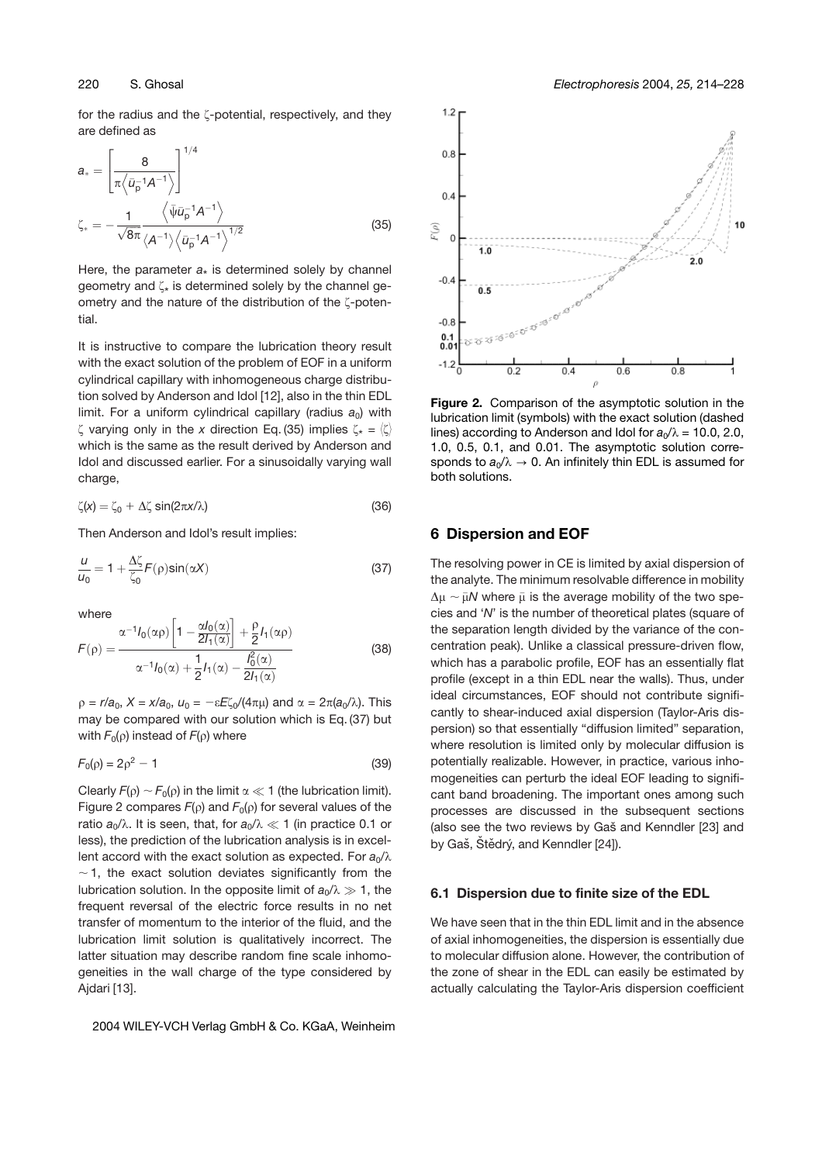$$
a_* = \left[\frac{8}{\pi \left\langle \bar{u}_p^{-1} A^{-1} \right\rangle} \right]^{1/4}
$$
  

$$
\zeta_* = -\frac{1}{\sqrt{8\pi}} \frac{\left\langle \bar{\psi} \bar{u}_p^{-1} A^{-1} \right\rangle}{\left\langle A^{-1} \right\rangle \left\langle \bar{u}_p^{-1} A^{-1} \right\rangle^{1/2}}
$$
(35)

Here, the parameter  $a<sub>*</sub>$  is determined solely by channel geometry and  $\zeta_*$  is determined solely by the channel geometry and the nature of the distribution of the  $\zeta$ -potential.

It is instructive to compare the lubrication theory result with the exact solution of the problem of EOF in a uniform cylindrical capillary with inhomogeneous charge distribution solved by Anderson and Idol [12], also in the thin EDL limit. For a uniform cylindrical capillary (radius  $a_0$ ) with  $\zeta$  varying only in the *x* direction Eq. (35) implies  $\zeta_* = \langle \zeta \rangle$ which is the same as the result derived by Anderson and Idol and discussed earlier. For a sinusoidally varying wall charge,

$$
\zeta(x) = \zeta_0 + \Delta \zeta \sin(2\pi x/\lambda) \tag{36}
$$

Then Anderson and Idol's result implies:

$$
\frac{u}{u_0} = 1 + \frac{\Delta\zeta}{\zeta_0} F(\rho) \sin(\alpha X)
$$
 (37)

where

$$
F(\rho) = \frac{\alpha^{-1} I_0(\alpha \rho) \left[ 1 - \frac{\alpha I_0(\alpha)}{2I_1(\alpha)} \right] + \frac{\rho}{2} I_1(\alpha \rho)}{\alpha^{-1} I_0(\alpha) + \frac{1}{2} I_1(\alpha) - \frac{I_0^2(\alpha)}{2I_1(\alpha)}}
$$
(38)

 $\rho = r/a_0$ ,  $X = x/a_0$ ,  $u_0 = -\varepsilon E\zeta_0/(4\pi\mu)$  and  $\alpha = 2\pi(a_0/\lambda)$ . This may be compared with our solution which is Eq. (37) but with  $F_0(\rho)$  instead of  $F(\rho)$  where

$$
F_0(\rho) = 2\rho^2 - 1\tag{39}
$$

Clearly  $F(\rho) \sim F_0(\rho)$  in the limit  $\alpha \ll 1$  (the lubrication limit). Figure 2 compares  $F(\rho)$  and  $F_0(\rho)$  for several values of the ratio  $a_0/\lambda$ . It is seen, that, for  $a_0/\lambda \ll 1$  (in practice 0.1 or less), the prediction of the lubrication analysis is in excellent accord with the exact solution as expected. For  $a_0/\lambda$  $\sim$  1, the exact solution deviates significantly from the lubrication solution. In the opposite limit of  $a_0/\lambda \gg 1$ , the frequent reversal of the electric force results in no net transfer of momentum to the interior of the fluid, and the lubrication limit solution is qualitatively incorrect. The latter situation may describe random fine scale inhomogeneities in the wall charge of the type considered by Ajdari [13].

2004 WILEY-VCH Verlag GmbH & Co. KGaA, Weinheim



**Figure 2.** Comparison of the asymptotic solution in the lubrication limit (symbols) with the exact solution (dashed lines) according to Anderson and Idol for  $a_0/\lambda = 10.0, 2.0,$ 1.0, 0.5, 0.1, and 0.01. The asymptotic solution corresponds to  $a_0/\lambda \rightarrow 0$ . An infinitely thin EDL is assumed for both solutions.

#### **6 Dispersion and EOF**

The resolving power in CE is limited by axial dispersion of the analyte. The minimum resolvable difference in mobility  $\Delta \mu \sim \bar{\mu}N$  where  $\bar{\mu}$  is the average mobility of the two species and '*N*' is the number of theoretical plates (square of the separation length divided by the variance of the concentration peak). Unlike a classical pressure-driven flow, which has a parabolic profile, EOF has an essentially flat profile (except in a thin EDL near the walls). Thus, under ideal circumstances, EOF should not contribute significantly to shear-induced axial dispersion (Taylor-Aris dispersion) so that essentially "diffusion limited" separation, where resolution is limited only by molecular diffusion is potentially realizable. However, in practice, various inhomogeneities can perturb the ideal EOF leading to significant band broadening. The important ones among such processes are discussed in the subsequent sections (also see the two reviews by Gaš and Kenndler [23] and by Gaš, Stědrý, and Kenndler [24]).

#### **6.1 Dispersion due to finite size of the EDL**

We have seen that in the thin EDL limit and in the absence of axial inhomogeneities, the dispersion is essentially due to molecular diffusion alone. However, the contribution of the zone of shear in the EDL can easily be estimated by actually calculating the Taylor-Aris dispersion coefficient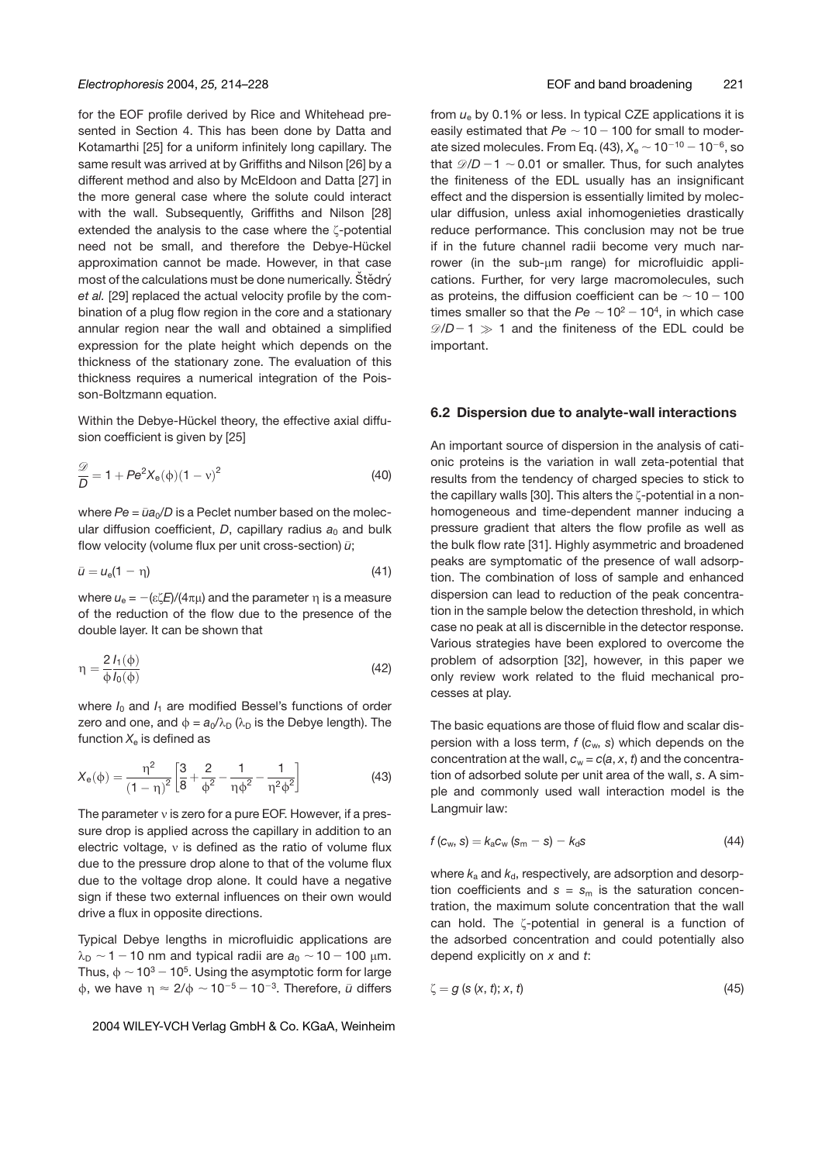for the EOF profile derived by Rice and Whitehead presented in Section 4. This has been done by Datta and Kotamarthi [25] for a uniform infinitely long capillary. The same result was arrived at by Griffiths and Nilson [26] by a different method and also by McEldoon and Datta [27] in the more general case where the solute could interact with the wall. Subsequently, Griffiths and Nilson [28] extended the analysis to the case where the  $\zeta$ -potential need not be small, and therefore the Debye-Hückel approximation cannot be made. However, in that case most of the calculations must be done numerically. Štědrý *et al.* [29] replaced the actual velocity profile by the combination of a plug flow region in the core and a stationary annular region near the wall and obtained a simplified expression for the plate height which depends on the thickness of the stationary zone. The evaluation of this thickness requires a numerical integration of the Poisson-Boltzmann equation.

Within the Debye-Hückel theory, the effective axial diffusion coefficient is given by [25]

$$
\frac{\mathcal{D}}{D} = 1 + Pe^2 X_e(\phi) (1 - v)^2 \tag{40}
$$

where  $Pe = \bar{u}a_0/D$  is a Peclet number based on the molecular diffusion coefficient,  $D$ , capillary radius  $a_0$  and bulk flow velocity (volume flux per unit cross-section) *u*;

$$
\bar{u} = u_{\rm e}(1-\eta) \tag{41}
$$

where  $u_e = -(\varepsilon \zeta E)/(4\pi\mu)$  and the parameter  $\eta$  is a measure of the reduction of the flow due to the presence of the double layer. It can be shown that

$$
\eta = \frac{2 I_1(\phi)}{\phi I_0(\phi)}\tag{42}
$$

where  $I_0$  and  $I_1$  are modified Bessel's functions of order zero and one, and  $\phi = a_0/\lambda_D$  ( $\lambda_D$  is the Debye length). The function  $X_e$  is defined as

$$
X_{e}(\phi) = \frac{\eta^{2}}{(1-\eta)^{2}} \left[ \frac{3}{8} + \frac{2}{\phi^{2}} - \frac{1}{\eta \phi^{2}} - \frac{1}{\eta^{2} \phi^{2}} \right]
$$
(43)

The parameter  $v$  is zero for a pure EOF. However, if a pressure drop is applied across the capillary in addition to an electric voltage,  $v$  is defined as the ratio of volume flux due to the pressure drop alone to that of the volume flux due to the voltage drop alone. It could have a negative sign if these two external influences on their own would drive a flux in opposite directions.

Typical Debye lengths in microfluidic applications are  $\lambda_D \sim 1 - 10$  nm and typical radii are  $a_0 \sim 10 - 100$  µm. Thus,  $\phi \sim 10^3 - 10^5$ . Using the asymptotic form for large  $\phi$ , we have  $\eta \approx 2/\phi \sim 10^{-5} - 10^{-3}$ . Therefore, *u* differs

from  $u_{\rm e}$  by 0.1% or less. In typical CZE applications it is easily estimated that  $Pe \sim 10 - 100$  for small to moderate sized molecules. From Eq. (43),  $X_e \sim 10^{-10} - 10^{-6}$ , so that  $\mathscr{D}/D - 1 \sim 0.01$  or smaller. Thus, for such analytes the finiteness of the EDL usually has an insignificant effect and the dispersion is essentially limited by molecular diffusion, unless axial inhomogenieties drastically reduce performance. This conclusion may not be true if in the future channel radii become very much narrower (in the sub-um range) for microfluidic applications. Further, for very large macromolecules, such as proteins, the diffusion coefficient can be  $\sim$  10 - 100 times smaller so that the  $Pe \sim 10^2 - 10^4$ , in which case  $\mathcal{D}/D-1 \gg 1$  and the finiteness of the EDL could be important.

#### **6.2 Dispersion due to analyte-wall interactions**

An important source of dispersion in the analysis of cationic proteins is the variation in wall zeta-potential that results from the tendency of charged species to stick to the capillary walls [30]. This alters the  $\zeta$ -potential in a nonhomogeneous and time-dependent manner inducing a pressure gradient that alters the flow profile as well as the bulk flow rate [31]. Highly asymmetric and broadened peaks are symptomatic of the presence of wall adsorption. The combination of loss of sample and enhanced dispersion can lead to reduction of the peak concentration in the sample below the detection threshold, in which case no peak at all is discernible in the detector response. Various strategies have been explored to overcome the problem of adsorption [32], however, in this paper we only review work related to the fluid mechanical processes at play.

The basic equations are those of fluid flow and scalar dispersion with a loss term, *f* (*c*w, *s*) which depends on the concentration at the wall,  $c_w = c(a, x, t)$  and the concentration of adsorbed solute per unit area of the wall, *s*. A simple and commonly used wall interaction model is the Langmuir law:

$$
f(c_w, s) = k_a c_w (s_m - s) - k_d s \tag{44}
$$

where  $k_a$  and  $k_d$ , respectively, are adsorption and desorption coefficients and  $s = s_m$  is the saturation concentration, the maximum solute concentration that the wall can hold. The  $\zeta$ -potential in general is a function of the adsorbed concentration and could potentially also depend explicitly on *x* and *t*:

$$
\zeta = g\left(s\left(x, t\right); x, t\right) \tag{45}
$$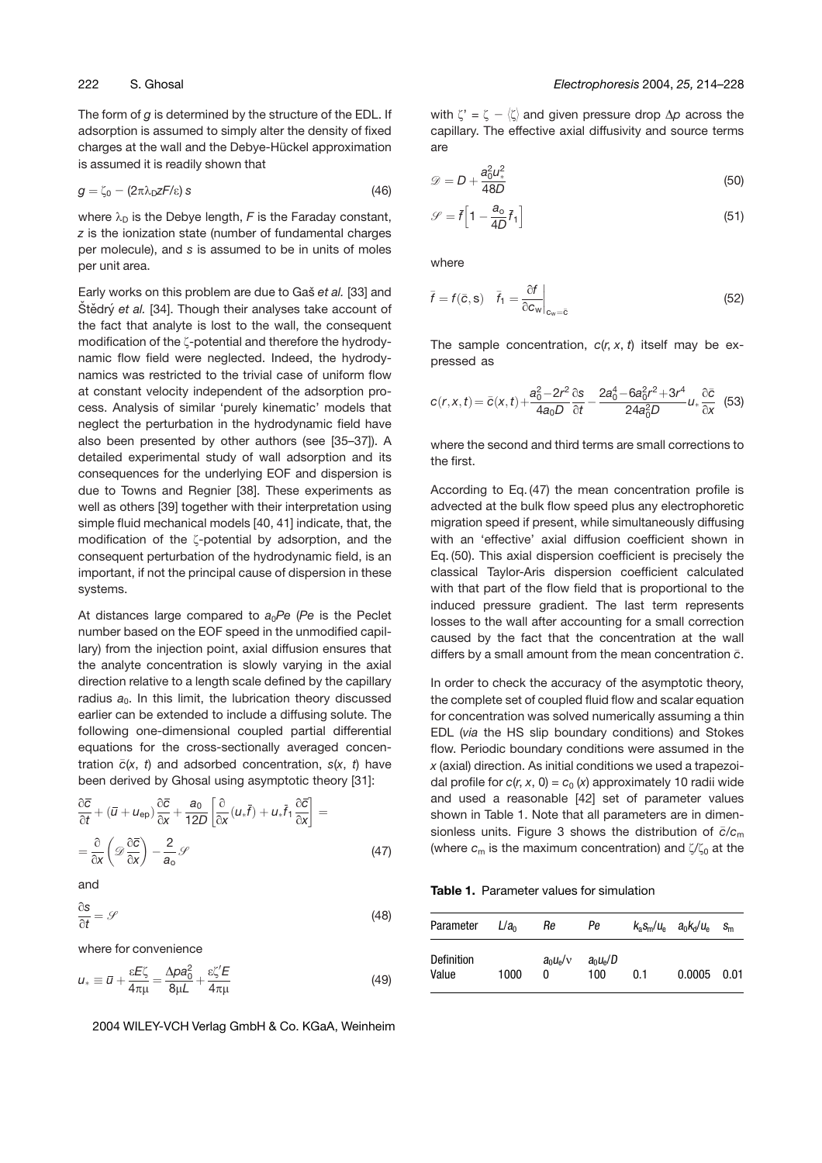The form of *g* is determined by the structure of the EDL. If adsorption is assumed to simply alter the density of fixed charges at the wall and the Debye-Hückel approximation is assumed it is readily shown that

$$
g = \zeta_0 - (2\pi\lambda_0 z F/\epsilon) s \tag{46}
$$

where  $\lambda_D$  is the Debye length, *F* is the Faraday constant, *z* is the ionization state (number of fundamental charges per molecule), and *s* is assumed to be in units of moles per unit area.

Early works on this problem are due to Gaš et al. [33] and Štědrý et al. [34]. Though their analyses take account of the fact that analyte is lost to the wall, the consequent modification of the  $\zeta$ -potential and therefore the hydrodynamic flow field were neglected. Indeed, the hydrodynamics was restricted to the trivial case of uniform flow at constant velocity independent of the adsorption process. Analysis of similar 'purely kinematic' models that neglect the perturbation in the hydrodynamic field have also been presented by other authors (see [35–37]). A detailed experimental study of wall adsorption and its consequences for the underlying EOF and dispersion is due to Towns and Regnier [38]. These experiments as well as others [39] together with their interpretation using simple fluid mechanical models [40, 41] indicate, that, the modification of the  $\zeta$ -potential by adsorption, and the consequent perturbation of the hydrodynamic field, is an important, if not the principal cause of dispersion in these systems.

At distances large compared to  $a_0$ Pe (Pe is the Peclet number based on the EOF speed in the unmodified capillary) from the injection point, axial diffusion ensures that the analyte concentration is slowly varying in the axial direction relative to a length scale defined by the capillary radius  $a_0$ . In this limit, the lubrication theory discussed earlier can be extended to include a diffusing solute. The following one-dimensional coupled partial differential equations for the cross-sectionally averaged concentration *c*(*x*, *t*) and adsorbed concentration, *s*(*x*, *t*) have been derived by Ghosal using asymptotic theory [31]:

$$
\frac{\partial \overline{c}}{\partial t} + (\overline{u} + u_{\text{ep}}) \frac{\partial \overline{c}}{\partial x} + \frac{a_0}{12D} \left[ \frac{\partial}{\partial x} (u_* \overline{f}) + u_* \overline{f}_1 \frac{\partial \overline{c}}{\partial x} \right] =
$$

$$
= \frac{\partial}{\partial x} \left( \mathcal{D} \frac{\partial \overline{c}}{\partial x} \right) - \frac{2}{a_0} \mathcal{S}
$$
(47)

and

$$
\frac{\partial s}{\partial t} = \mathcal{S} \tag{48}
$$

where for convenience

$$
u_* \equiv \overline{u} + \frac{\varepsilon E \zeta}{4\pi\mu} = \frac{\Delta \rho a_0^2}{8\mu L} + \frac{\varepsilon \zeta' E}{4\pi\mu}
$$
(49)

2004 WILEY-VCH Verlag GmbH & Co. KGaA, Weinheim

with  $\zeta' = \zeta - \langle \zeta \rangle$  and given pressure drop  $\Delta p$  across the capillary. The effective axial diffusivity and source terms are

$$
\mathcal{D} = D + \frac{a_0^2 u_*^2}{48D} \tag{50}
$$

$$
\mathcal{S} = \bar{f} \left[ 1 - \frac{a_0}{4D} \bar{f}_1 \right] \tag{51}
$$

where

$$
\bar{f} = f(\bar{c}, s) \quad \bar{f}_1 = \frac{\partial f}{\partial c_w}\Big|_{c_w = \bar{c}} \tag{52}
$$

The sample concentration, *c*(*r*, *x*, *t*) itself may be expressed as

$$
c(r, x, t) = \bar{c}(x, t) + \frac{a_0^2 - 2r^2}{4a_0 D} \frac{\partial s}{\partial t} - \frac{2a_0^4 - 6a_0^2 r^2 + 3r^4}{24a_0^2 D} u_* \frac{\partial \bar{c}}{\partial x}
$$
(53)

where the second and third terms are small corrections to the first.

According to Eq. (47) the mean concentration profile is advected at the bulk flow speed plus any electrophoretic migration speed if present, while simultaneously diffusing with an 'effective' axial diffusion coefficient shown in Eq. (50). This axial dispersion coefficient is precisely the classical Taylor-Aris dispersion coefficient calculated with that part of the flow field that is proportional to the induced pressure gradient. The last term represents losses to the wall after accounting for a small correction caused by the fact that the concentration at the wall differs by a small amount from the mean concentration *c*.

In order to check the accuracy of the asymptotic theory, the complete set of coupled fluid flow and scalar equation for concentration was solved numerically assuming a thin EDL (*via* the HS slip boundary conditions) and Stokes flow. Periodic boundary conditions were assumed in the *x* (axial) direction. As initial conditions we used a trapezoidal profile for  $c(r, x, 0) = c_0(x)$  approximately 10 radii wide and used a reasonable [42] set of parameter values shown in Table 1. Note that all parameters are in dimensionless units. Figure 3 shows the distribution of *c*/*c*<sup>m</sup> (where  $c_m$  is the maximum concentration) and  $\zeta/\zeta_0$  at the

**Table 1.** Parameter values for simulation

| Parameter           | L/a <sub>0</sub> | Re              | Рe                | $k_{\rm a}$ S <sub>m</sub> / $u_{\rm e}$ | $a_0k_d/u_e$ | $S_{\rm m}$ |
|---------------------|------------------|-----------------|-------------------|------------------------------------------|--------------|-------------|
| Definition<br>Value | 1000             | $a_0u_e/v$<br>0 | $a_0u_e/D$<br>100 | 0.1                                      | 0.0005       | 0.01        |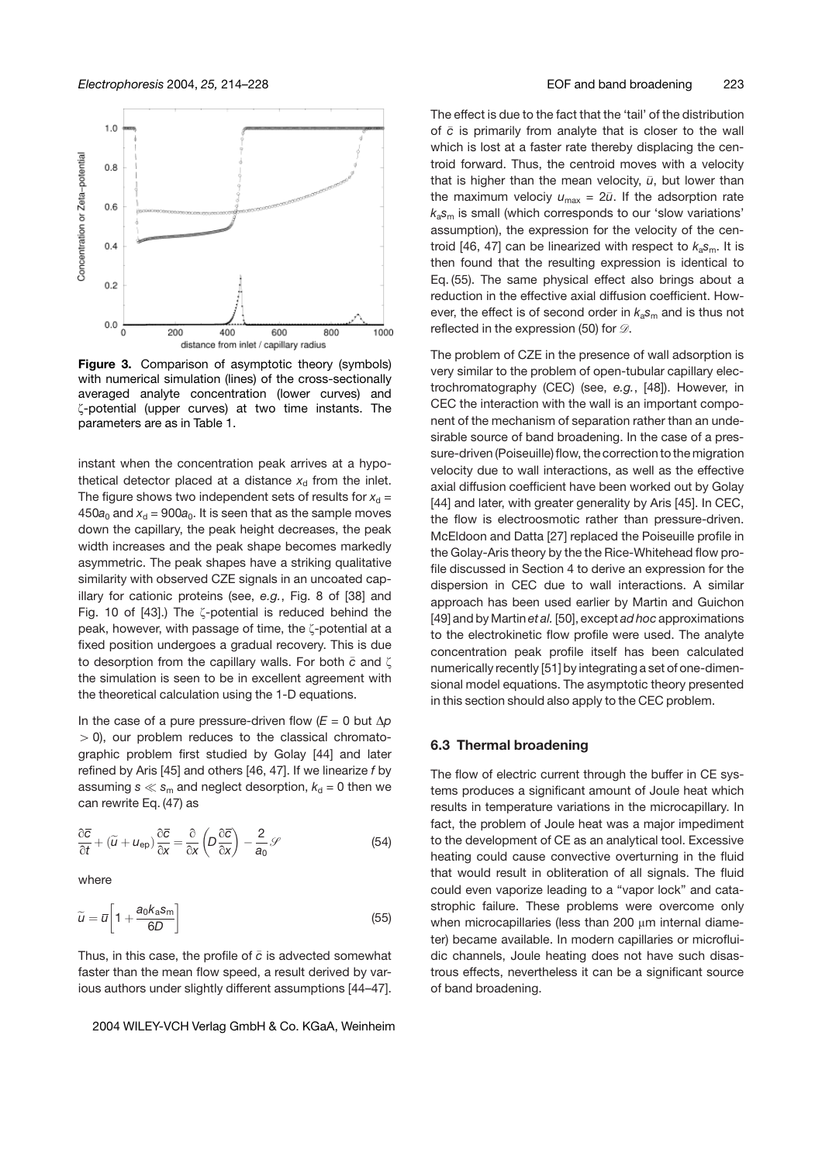

**Figure 3.** Comparison of asymptotic theory (symbols) with numerical simulation (lines) of the cross-sectionally averaged analyte concentration (lower curves) and  $\zeta$ -potential (upper curves) at two time instants. The parameters are as in Table 1.

instant when the concentration peak arrives at a hypothetical detector placed at a distance  $x_d$  from the inlet. The figure shows two independent sets of results for  $x_d =$  $450a<sub>0</sub>$  and  $x<sub>d</sub> = 900a<sub>0</sub>$ . It is seen that as the sample moves down the capillary, the peak height decreases, the peak width increases and the peak shape becomes markedly asymmetric. The peak shapes have a striking qualitative similarity with observed CZE signals in an uncoated capillary for cationic proteins (see, *e.g.*, Fig. 8 of [38] and Fig. 10 of  $[43]$ .) The  $\zeta$ -potential is reduced behind the peak, however, with passage of time, the  $\zeta$ -potential at a fixed position undergoes a gradual recovery. This is due to desorption from the capillary walls. For both  $\bar{c}$  and ζ the simulation is seen to be in excellent agreement with the theoretical calculation using the 1-D equations.

In the case of a pure pressure-driven flow  $(E = 0$  but  $\Delta p$  $>$  0), our problem reduces to the classical chromatographic problem first studied by Golay [44] and later refined by Aris [45] and others [46, 47]. If we linearize *f* by assuming  $s \ll s_m$  and neglect desorption,  $k_d = 0$  then we can rewrite Eq. (47) as

$$
\frac{\partial \overline{c}}{\partial t} + (\widetilde{u} + u_{\text{ep}}) \frac{\partial \overline{c}}{\partial x} = \frac{\partial}{\partial x} \left( D \frac{\partial \overline{c}}{\partial x} \right) - \frac{2}{a_0} \mathcal{S}
$$
(54)

where

$$
\widetilde{u} = \overline{u} \left[ 1 + \frac{a_0 k_a s_m}{6D} \right]
$$
\n(55)

Thus, in this case, the profile of *c* is advected somewhat faster than the mean flow speed, a result derived by various authors under slightly different assumptions [44–47].

2004 WILEY-VCH Verlag GmbH & Co. KGaA, Weinheim

The effect is due to the fact that the 'tail' of the distribution of *c* is primarily from analyte that is closer to the wall which is lost at a faster rate thereby displacing the centroid forward. Thus, the centroid moves with a velocity that is higher than the mean velocity,  $\bar{u}$ , but lower than the maximum velociy  $u_{\text{max}} = 2\bar{u}$ . If the adsorption rate  $k_a s_m$  is small (which corresponds to our 'slow variations' assumption), the expression for the velocity of the centroid [46, 47] can be linearized with respect to  $k_a s_m$ . It is then found that the resulting expression is identical to Eq. (55). The same physical effect also brings about a reduction in the effective axial diffusion coefficient. However, the effect is of second order in  $k_a s_m$  and is thus not reflected in the expression (50) for  $\mathcal{D}$ .

The problem of CZE in the presence of wall adsorption is very similar to the problem of open-tubular capillary electrochromatography (CEC) (see, *e.g.*, [48]). However, in CEC the interaction with the wall is an important component of the mechanism of separation rather than an undesirable source of band broadening. In the case of a pressure-driven (Poiseuille) flow, the correction to the migration velocity due to wall interactions, as well as the effective axial diffusion coefficient have been worked out by Golay [44] and later, with greater generality by Aris [45]. In CEC, the flow is electroosmotic rather than pressure-driven. McEldoon and Datta [27] replaced the Poiseuille profile in the Golay-Aris theory by the the Rice-Whitehead flow profile discussed in Section 4 to derive an expression for the dispersion in CEC due to wall interactions. A similar approach has been used earlier by Martin and Guichon [49] and by Martin *et al.* [50], except *ad hoc* approximations to the electrokinetic flow profile were used. The analyte concentration peak profile itself has been calculated numerically recently [51] by integrating a set of one-dimensional model equations. The asymptotic theory presented in this section should also apply to the CEC problem.

#### **6.3 Thermal broadening**

The flow of electric current through the buffer in CE systems produces a significant amount of Joule heat which results in temperature variations in the microcapillary. In fact, the problem of Joule heat was a major impediment to the development of CE as an analytical tool. Excessive heating could cause convective overturning in the fluid that would result in obliteration of all signals. The fluid could even vaporize leading to a "vapor lock" and catastrophic failure. These problems were overcome only when microcapillaries (less than  $200 \mu m$  internal diameter) became available. In modern capillaries or microfluidic channels, Joule heating does not have such disastrous effects, nevertheless it can be a significant source of band broadening.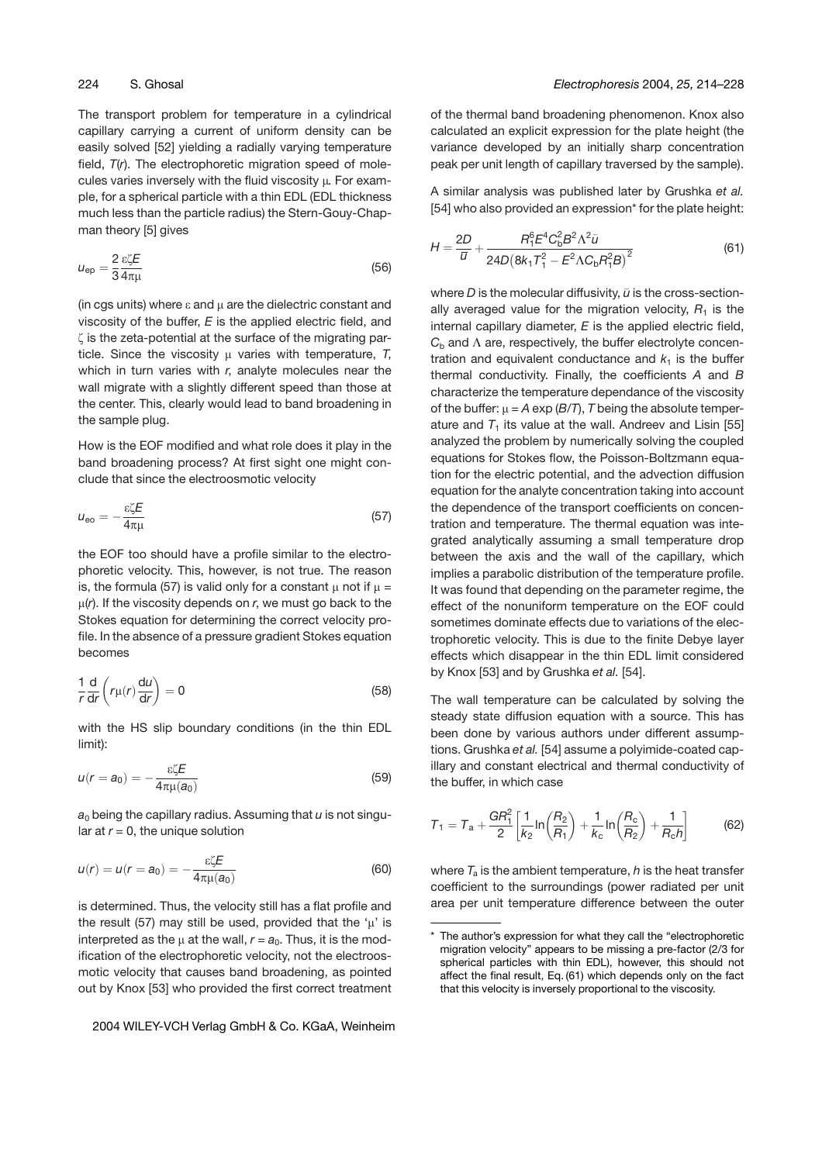The transport problem for temperature in a cylindrical capillary carrying a current of uniform density can be easily solved [52] yielding a radially varying temperature field,  $T(r)$ . The electrophoretic migration speed of molecules varies inversely with the fluid viscosity  $\mu$ . For example, for a spherical particle with a thin EDL (EDL thickness much less than the particle radius) the Stern-Gouy-Chapman theory [5] gives

$$
u_{\rm ep} = \frac{2}{3} \frac{\varepsilon \zeta E}{4\pi\mu} \tag{56}
$$

(in cgs units) where  $\varepsilon$  and  $\mu$  are the dielectric constant and viscosity of the buffer, *E* is the applied electric field, and  $\zeta$  is the zeta-potential at the surface of the migrating particle. Since the viscosity  $\mu$  varies with temperature,  $T$ , which in turn varies with *r*, analyte molecules near the wall migrate with a slightly different speed than those at the center. This, clearly would lead to band broadening in the sample plug.

How is the EOF modified and what role does it play in the band broadening process? At first sight one might conclude that since the electroosmotic velocity

$$
u_{\rm eo} = -\frac{\varepsilon \zeta E}{4\pi\mu} \tag{57}
$$

the EOF too should have a profile similar to the electrophoretic velocity. This, however, is not true. The reason is, the formula (57) is valid only for a constant  $\mu$  not if  $\mu$  =  $\mu(r)$ . If the viscosity depends on  $r$ , we must go back to the Stokes equation for determining the correct velocity profile. In the absence of a pressure gradient Stokes equation becomes

$$
\frac{1}{r}\frac{d}{dr}\left(r\mu(r)\frac{du}{dr}\right) = 0\tag{58}
$$

with the HS slip boundary conditions (in the thin EDL limit):

$$
u(r = a_0) = -\frac{\varepsilon \zeta E}{4\pi\mu(a_0)}
$$
(59)

 $a_0$  being the capillary radius. Assuming that  $u$  is not singular at  $r = 0$ , the unique solution

$$
u(r) = u(r = a_0) = -\frac{\varepsilon \zeta E}{4\pi \mu(a_0)}
$$
(60)

is determined. Thus, the velocity still has a flat profile and the result (57) may still be used, provided that the ' $\mu$ ' is interpreted as the  $\mu$  at the wall,  $r = a_0$ . Thus, it is the modification of the electrophoretic velocity, not the electroosmotic velocity that causes band broadening, as pointed out by Knox [53] who provided the first correct treatment

2004 WILEY-VCH Verlag GmbH & Co. KGaA, Weinheim

of the thermal band broadening phenomenon. Knox also calculated an explicit expression for the plate height (the variance developed by an initially sharp concentration peak per unit length of capillary traversed by the sample).

A similar analysis was published later by Grushka *et al.* [54] who also provided an expression\* for the plate height:

$$
H = \frac{2D}{\bar{u}} + \frac{R_1^6 E^4 C_b^2 B^2 \Lambda^2 \bar{u}}{24D(8k_1 T_1^2 - E^2 \Lambda C_b R_1^2 B)^2}
$$
(61)

where *D* is the molecular diffusivity,  $\bar{u}$  is the cross-sectionally averaged value for the migration velocity,  $R_1$  is the internal capillary diameter, *E* is the applied electric field,  $C_{\rm b}$  and  $\Lambda$  are, respectively, the buffer electrolyte concentration and equivalent conductance and  $k<sub>1</sub>$  is the buffer thermal conductivity. Finally, the coefficients *A* and *B* characterize the temperature dependance of the viscosity of the buffer:  $\mu = A \exp(B/T)$ , *T* being the absolute temperature and  $T_1$  its value at the wall. Andreev and Lisin [55] analyzed the problem by numerically solving the coupled equations for Stokes flow, the Poisson-Boltzmann equation for the electric potential, and the advection diffusion equation for the analyte concentration taking into account the dependence of the transport coefficients on concentration and temperature. The thermal equation was integrated analytically assuming a small temperature drop between the axis and the wall of the capillary, which implies a parabolic distribution of the temperature profile. It was found that depending on the parameter regime, the effect of the nonuniform temperature on the EOF could sometimes dominate effects due to variations of the electrophoretic velocity. This is due to the finite Debye layer effects which disappear in the thin EDL limit considered by Knox [53] and by Grushka *et al.* [54].

The wall temperature can be calculated by solving the steady state diffusion equation with a source. This has been done by various authors under different assumptions. Grushka *et al.* [54] assume a polyimide-coated capillary and constant electrical and thermal conductivity of the buffer, in which case

$$
T_1 = T_a + \frac{GR_1^2}{2} \left[ \frac{1}{k_2} \ln \left( \frac{R_2}{R_1} \right) + \frac{1}{k_c} \ln \left( \frac{R_c}{R_2} \right) + \frac{1}{R_c h} \right]
$$
(62)

where  $T_a$  is the ambient temperature, *h* is the heat transfer coefficient to the surroundings (power radiated per unit area per unit temperature difference between the outer

<sup>\*</sup> The author's expression for what they call the "electrophoretic migration velocity" appears to be missing a pre-factor (2/3 for spherical particles with thin EDL), however, this should not affect the final result, Eq. (61) which depends only on the fact that this velocity is inversely proportional to the viscosity.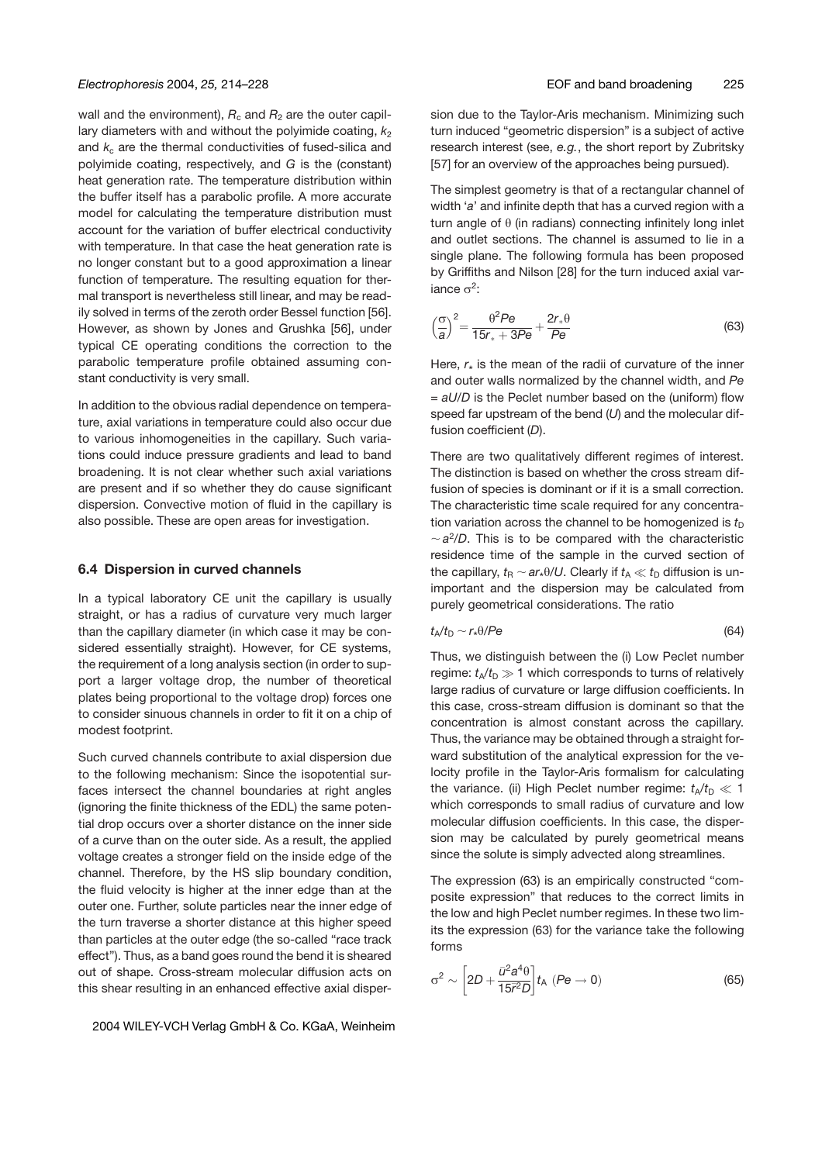wall and the environment),  $R_c$  and  $R_2$  are the outer capillary diameters with and without the polyimide coating,  $k_2$ and  $k_c$  are the thermal conductivities of fused-silica and polyimide coating, respectively, and *G* is the (constant) heat generation rate. The temperature distribution within the buffer itself has a parabolic profile. A more accurate model for calculating the temperature distribution must account for the variation of buffer electrical conductivity with temperature. In that case the heat generation rate is no longer constant but to a good approximation a linear function of temperature. The resulting equation for thermal transport is nevertheless still linear, and may be readily solved in terms of the zeroth order Bessel function [56]. However, as shown by Jones and Grushka [56], under typical CE operating conditions the correction to the parabolic temperature profile obtained assuming constant conductivity is very small.

In addition to the obvious radial dependence on temperature, axial variations in temperature could also occur due to various inhomogeneities in the capillary. Such variations could induce pressure gradients and lead to band broadening. It is not clear whether such axial variations are present and if so whether they do cause significant dispersion. Convective motion of fluid in the capillary is also possible. These are open areas for investigation.

#### **6.4 Dispersion in curved channels**

In a typical laboratory CE unit the capillary is usually straight, or has a radius of curvature very much larger than the capillary diameter (in which case it may be considered essentially straight). However, for CE systems, the requirement of a long analysis section (in order to support a larger voltage drop, the number of theoretical plates being proportional to the voltage drop) forces one to consider sinuous channels in order to fit it on a chip of modest footprint.

Such curved channels contribute to axial dispersion due to the following mechanism: Since the isopotential surfaces intersect the channel boundaries at right angles (ignoring the finite thickness of the EDL) the same potential drop occurs over a shorter distance on the inner side of a curve than on the outer side. As a result, the applied voltage creates a stronger field on the inside edge of the channel. Therefore, by the HS slip boundary condition, the fluid velocity is higher at the inner edge than at the outer one. Further, solute particles near the inner edge of the turn traverse a shorter distance at this higher speed than particles at the outer edge (the so-called "race track effect"). Thus, as a band goes round the bend it is sheared out of shape. Cross-stream molecular diffusion acts on this shear resulting in an enhanced effective axial disper-

2004 WILEY-VCH Verlag GmbH & Co. KGaA, Weinheim

sion due to the Taylor-Aris mechanism. Minimizing such turn induced "geometric dispersion" is a subject of active research interest (see, *e.g.*, the short report by Zubritsky [57] for an overview of the approaches being pursued).

The simplest geometry is that of a rectangular channel of width '*a*' and infinite depth that has a curved region with a turn angle of  $\theta$  (in radians) connecting infinitely long inlet and outlet sections. The channel is assumed to lie in a single plane. The following formula has been proposed by Griffiths and Nilson [28] for the turn induced axial variance  $\sigma^2$ :

$$
\left(\frac{\sigma}{a}\right)^2 = \frac{\theta^2 P e}{15r_* + 3P e} + \frac{2r_*\theta}{P e}
$$
 (63)

Here,  $r_*$  is the mean of the radii of curvature of the inner and outer walls normalized by the channel width, and *Pe* = *aU*/*D* is the Peclet number based on the (uniform) flow speed far upstream of the bend (*U*) and the molecular diffusion coefficient (*D*).

There are two qualitatively different regimes of interest. The distinction is based on whether the cross stream diffusion of species is dominant or if it is a small correction. The characteristic time scale required for any concentration variation across the channel to be homogenized is  $t_D$  $\sim$   $a^2/D$ . This is to be compared with the characteristic residence time of the sample in the curved section of the capillary,  $t_{\mathsf{R}} \sim ar_* \theta/U$ . Clearly if  $t_{\mathsf{A}} \ll t_{\mathsf{D}}$  diffusion is unimportant and the dispersion may be calculated from purely geometrical considerations. The ratio

$$
t_{A}/t_{D} \sim r_{*}\theta / Pe \tag{64}
$$

Thus, we distinguish between the (i) Low Peclet number regime:  $t_A/t_D \gg 1$  which corresponds to turns of relatively large radius of curvature or large diffusion coefficients. In this case, cross-stream diffusion is dominant so that the concentration is almost constant across the capillary. Thus, the variance may be obtained through a straight forward substitution of the analytical expression for the velocity profile in the Taylor-Aris formalism for calculating the variance. (ii) High Peclet number regime:  $t_A/t_D \ll 1$ which corresponds to small radius of curvature and low molecular diffusion coefficients. In this case, the dispersion may be calculated by purely geometrical means since the solute is simply advected along streamlines.

The expression (63) is an empirically constructed "composite expression" that reduces to the correct limits in the low and high Peclet number regimes. In these two limits the expression (63) for the variance take the following forms

$$
\sigma^2 \sim \left[2D + \frac{\bar{u}^2 a^4 \theta}{15 \bar{r}^2 D}\right] t_A \ (Pe \to 0)
$$
 (65)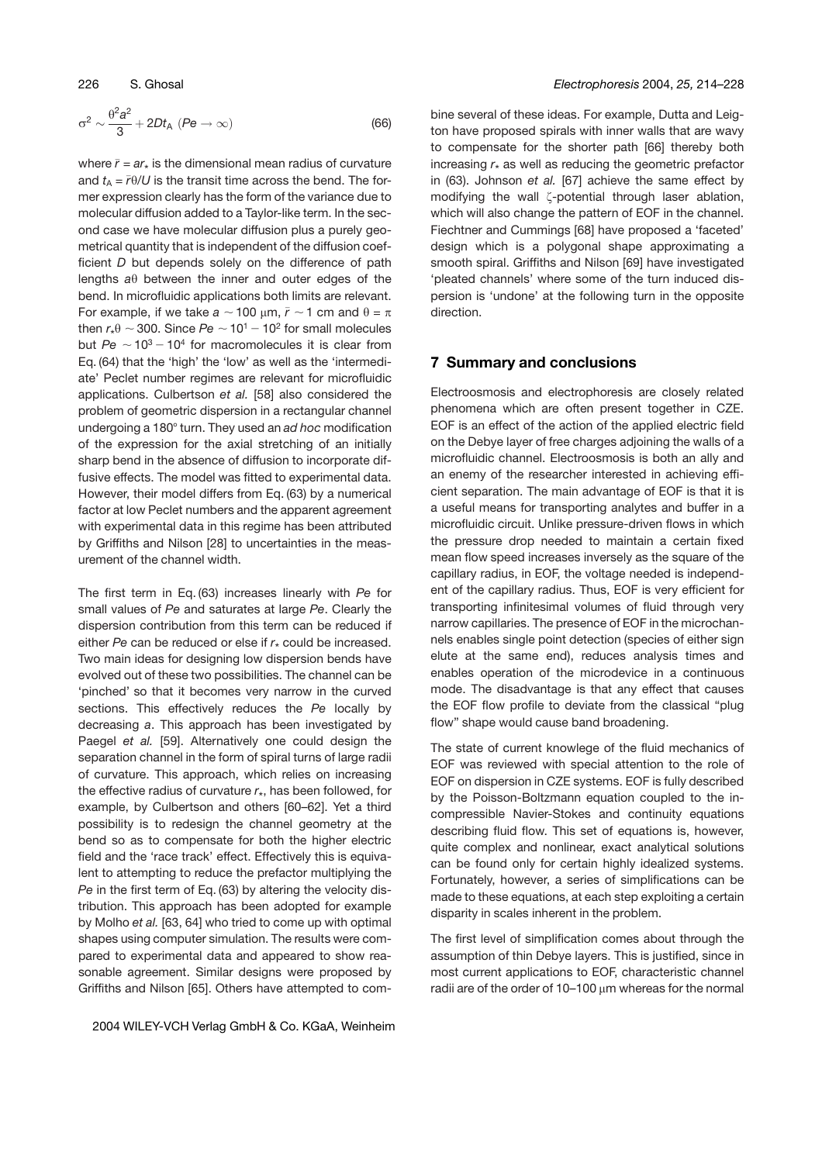$$
\sigma^2 \sim \frac{\theta^2 a^2}{3} + 2Dt_A \ (Pe \to \infty) \tag{66}
$$

where  $\bar{r} = ar_*$  is the dimensional mean radius of curvature and  $t_A = \bar{r}\theta/U$  is the transit time across the bend. The former expression clearly has the form of the variance due to molecular diffusion added to a Taylor-like term. In the second case we have molecular diffusion plus a purely geometrical quantity that is independent of the diffusion coefficient *D* but depends solely on the difference of path lengths  $a\theta$  between the inner and outer edges of the bend. In microfluidic applications both limits are relevant. For example, if we take  $a \sim 100$  µm,  $\bar{r} \sim 1$  cm and  $\theta = \pi$ then  $r_*\theta \sim 300$ . Since  $Pe \sim 10^1 - 10^2$  for small molecules but  $Pe \sim 10^3 - 10^4$  for macromolecules it is clear from Eq. (64) that the 'high' the 'low' as well as the 'intermediate' Peclet number regimes are relevant for microfluidic applications. Culbertson *et al.* [58] also considered the problem of geometric dispersion in a rectangular channel undergoing a 180*7* turn. They used an *ad hoc* modification of the expression for the axial stretching of an initially sharp bend in the absence of diffusion to incorporate diffusive effects. The model was fitted to experimental data. However, their model differs from Eq. (63) by a numerical factor at low Peclet numbers and the apparent agreement with experimental data in this regime has been attributed by Griffiths and Nilson [28] to uncertainties in the measurement of the channel width.

The first term in Eq. (63) increases linearly with *Pe* for small values of *Pe* and saturates at large *Pe*. Clearly the dispersion contribution from this term can be reduced if either *Pe* can be reduced or else if *r* \* could be increased. Two main ideas for designing low dispersion bends have evolved out of these two possibilities. The channel can be 'pinched' so that it becomes very narrow in the curved sections. This effectively reduces the *Pe* locally by decreasing *a*. This approach has been investigated by Paegel *et al.* [59]. Alternatively one could design the separation channel in the form of spiral turns of large radii of curvature. This approach, which relies on increasing the effective radius of curvature  $r_*$ , has been followed, for example, by Culbertson and others [60–62]. Yet a third possibility is to redesign the channel geometry at the bend so as to compensate for both the higher electric field and the 'race track' effect. Effectively this is equivalent to attempting to reduce the prefactor multiplying the *Pe* in the first term of Eq. (63) by altering the velocity distribution. This approach has been adopted for example by Molho *et al.* [63, 64] who tried to come up with optimal shapes using computer simulation. The results were compared to experimental data and appeared to show reasonable agreement. Similar designs were proposed by Griffiths and Nilson [65]. Others have attempted to com-

2004 WILEY-VCH Verlag GmbH & Co. KGaA, Weinheim

bine several of these ideas. For example, Dutta and Leigton have proposed spirals with inner walls that are wavy to compensate for the shorter path [66] thereby both increasing *r* \* as well as reducing the geometric prefactor in (63). Johnson *et al.* [67] achieve the same effect by modifying the wall  $\zeta$ -potential through laser ablation, which will also change the pattern of EOF in the channel. Fiechtner and Cummings [68] have proposed a 'faceted' design which is a polygonal shape approximating a smooth spiral. Griffiths and Nilson [69] have investigated 'pleated channels' where some of the turn induced dispersion is 'undone' at the following turn in the opposite direction.

### **7 Summary and conclusions**

Electroosmosis and electrophoresis are closely related phenomena which are often present together in CZE. EOF is an effect of the action of the applied electric field on the Debye layer of free charges adjoining the walls of a microfluidic channel. Electroosmosis is both an ally and an enemy of the researcher interested in achieving efficient separation. The main advantage of EOF is that it is a useful means for transporting analytes and buffer in a microfluidic circuit. Unlike pressure-driven flows in which the pressure drop needed to maintain a certain fixed mean flow speed increases inversely as the square of the capillary radius, in EOF, the voltage needed is independent of the capillary radius. Thus, EOF is very efficient for transporting infinitesimal volumes of fluid through very narrow capillaries. The presence of EOF in the microchannels enables single point detection (species of either sign elute at the same end), reduces analysis times and enables operation of the microdevice in a continuous mode. The disadvantage is that any effect that causes the EOF flow profile to deviate from the classical "plug flow" shape would cause band broadening.

The state of current knowlege of the fluid mechanics of EOF was reviewed with special attention to the role of EOF on dispersion in CZE systems. EOF is fully described by the Poisson-Boltzmann equation coupled to the incompressible Navier-Stokes and continuity equations describing fluid flow. This set of equations is, however, quite complex and nonlinear, exact analytical solutions can be found only for certain highly idealized systems. Fortunately, however, a series of simplifications can be made to these equations, at each step exploiting a certain disparity in scales inherent in the problem.

The first level of simplification comes about through the assumption of thin Debye layers. This is justified, since in most current applications to EOF, characteristic channel radii are of the order of  $10-100 \mu m$  whereas for the normal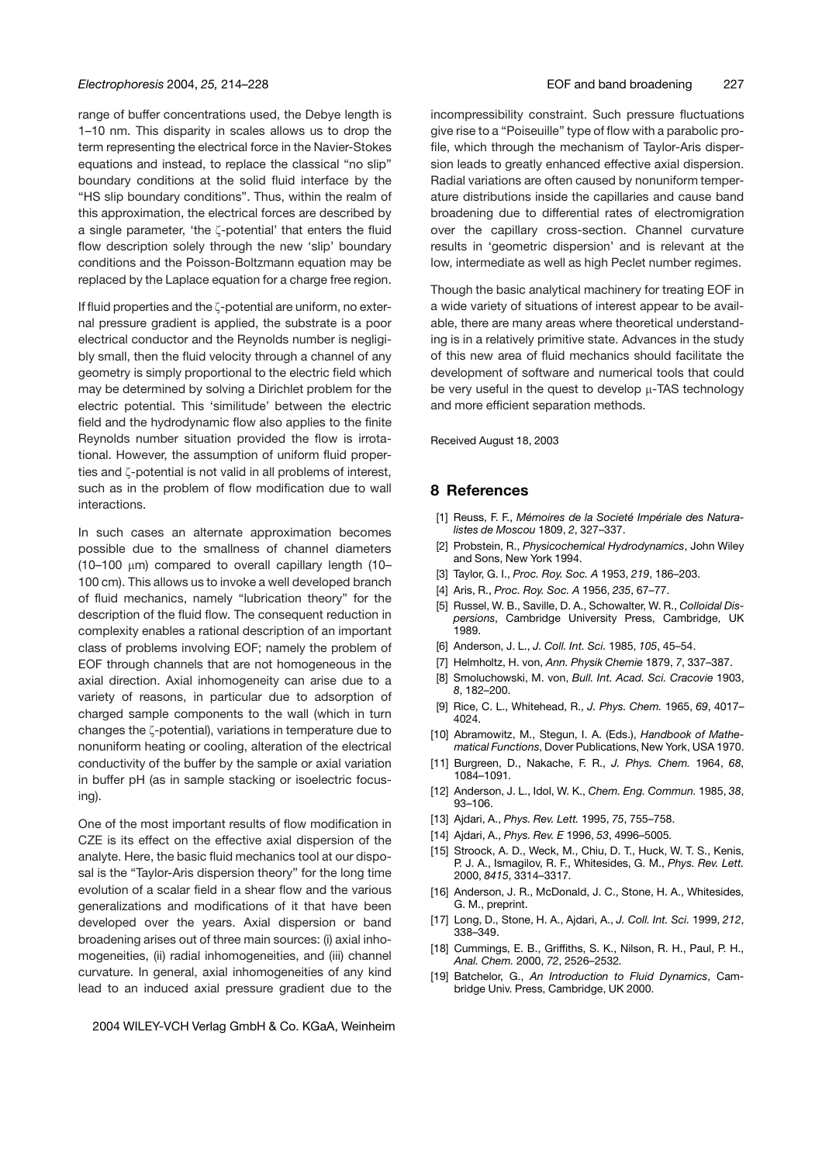range of buffer concentrations used, the Debye length is 1–10 nm. This disparity in scales allows us to drop the term representing the electrical force in the Navier-Stokes equations and instead, to replace the classical "no slip" boundary conditions at the solid fluid interface by the "HS slip boundary conditions". Thus, within the realm of this approximation, the electrical forces are described by a single parameter, 'the  $\zeta$ -potential' that enters the fluid flow description solely through the new 'slip' boundary conditions and the Poisson-Boltzmann equation may be replaced by the Laplace equation for a charge free region.

If fluid properties and the  $\zeta$ -potential are uniform, no external pressure gradient is applied, the substrate is a poor electrical conductor and the Reynolds number is negligibly small, then the fluid velocity through a channel of any geometry is simply proportional to the electric field which may be determined by solving a Dirichlet problem for the electric potential. This 'similitude' between the electric field and the hydrodynamic flow also applies to the finite Reynolds number situation provided the flow is irrotational. However, the assumption of uniform fluid properties and  $\zeta$ -potential is not valid in all problems of interest, such as in the problem of flow modification due to wall interactions.

In such cases an alternate approximation becomes possible due to the smallness of channel diameters (10-100  $\mu$ m) compared to overall capillary length (10-100 cm). This allows us to invoke a well developed branch of fluid mechanics, namely "lubrication theory" for the description of the fluid flow. The consequent reduction in complexity enables a rational description of an important class of problems involving EOF; namely the problem of EOF through channels that are not homogeneous in the axial direction. Axial inhomogeneity can arise due to a variety of reasons, in particular due to adsorption of charged sample components to the wall (which in turn changes the  $\zeta$ -potential), variations in temperature due to nonuniform heating or cooling, alteration of the electrical conductivity of the buffer by the sample or axial variation in buffer pH (as in sample stacking or isoelectric focusing).

One of the most important results of flow modification in CZE is its effect on the effective axial dispersion of the analyte. Here, the basic fluid mechanics tool at our disposal is the "Taylor-Aris dispersion theory" for the long time evolution of a scalar field in a shear flow and the various generalizations and modifications of it that have been developed over the years. Axial dispersion or band broadening arises out of three main sources: (i) axial inhomogeneities, (ii) radial inhomogeneities, and (iii) channel curvature. In general, axial inhomogeneities of any kind lead to an induced axial pressure gradient due to the

2004 WILEY-VCH Verlag GmbH & Co. KGaA, Weinheim

incompressibility constraint. Such pressure fluctuations give rise to a "Poiseuille" type of flow with a parabolic profile, which through the mechanism of Taylor-Aris dispersion leads to greatly enhanced effective axial dispersion. Radial variations are often caused by nonuniform temperature distributions inside the capillaries and cause band broadening due to differential rates of electromigration over the capillary cross-section. Channel curvature results in 'geometric dispersion' and is relevant at the low, intermediate as well as high Peclet number regimes.

Though the basic analytical machinery for treating EOF in a wide variety of situations of interest appear to be available, there are many areas where theoretical understanding is in a relatively primitive state. Advances in the study of this new area of fluid mechanics should facilitate the development of software and numerical tools that could be very useful in the quest to develop  $\mu$ -TAS technology and more efficient separation methods.

Received August 18, 2003

# **8 References**

- [1] Reuss, F. F., *Mémoires de la Societé Impériale des Naturalistes de Moscou* 1809, *2*, 327–337.
- [2] Probstein, R., *Physicochemical Hydrodynamics*, John Wiley and Sons, New York 1994.
- [3] Taylor, G. I., *Proc. Roy. Soc. A* 1953, *219*, 186–203.
- [4] Aris, R., *Proc. Roy. Soc. A* 1956, *235*, 67–77.
- [5] Russel, W. B., Saville, D. A., Schowalter, W. R., *Colloidal Dispersions*, Cambridge University Press, Cambridge, UK 1989.
- [6] Anderson, J. L., *J. Coll. Int. Sci.* 1985, *105*, 45–54.
- [7] Helmholtz, H. von, *Ann. Physik Chemie* 1879, *7*, 337–387.
- [8] Smoluchowski, M. von, *Bull. Int. Acad. Sci. Cracovie* 1903, *8*, 182–200.
- [9] Rice, C. L., Whitehead, R., *J. Phys. Chem.* 1965, *69*, 4017– 4024.
- [10] Abramowitz, M., Stegun, I. A. (Eds.), *Handbook of Mathematical Functions*, Dover Publications, New York, USA 1970.
- [11] Burgreen, D., Nakache, F. R., *J. Phys. Chem.* 1964, *68*, 1084–1091.
- [12] Anderson, J. L., Idol, W. K., *Chem. Eng. Commun.* 1985, *38*, 93–106.
- [13] Ajdari, A., *Phys. Rev. Lett.* 1995, *75*, 755–758.
- [14] Ajdari, A., *Phys. Rev. E* 1996, *53*, 4996–5005.
- [15] Stroock, A. D., Weck, M., Chiu, D. T., Huck, W. T. S., Kenis, P. J. A., Ismagilov, R. F., Whitesides, G. M., *Phys. Rev. Lett.* 2000, *8415*, 3314–3317.
- [16] Anderson, J. R., McDonald, J. C., Stone, H. A., Whitesides, G. M., preprint.
- [17] Long, D., Stone, H. A., Ajdari, A., *J. Coll. Int. Sci.* 1999, *212*, 338–349.
- [18] Cummings, E. B., Griffiths, S. K., Nilson, R. H., Paul, P. H., *Anal. Chem.* 2000, *72*, 2526–2532.
- [19] Batchelor, G., *An Introduction to Fluid Dynamics*, Cambridge Univ. Press, Cambridge, UK 2000.